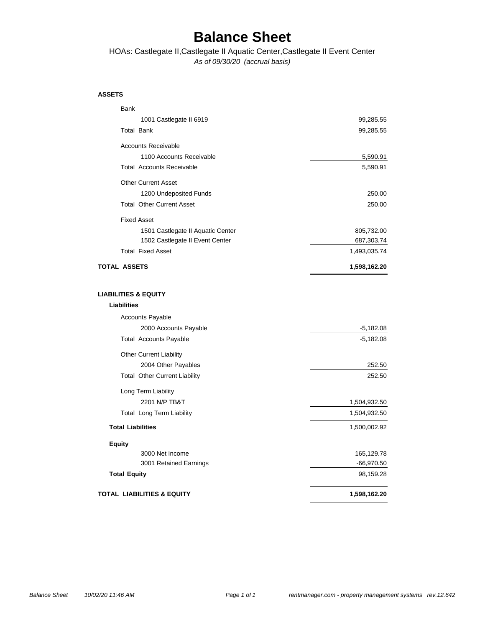## **Balance Sheet**

*As of 09/30/20 (accrual basis)* HOAs: Castlegate II,Castlegate II Aquatic Center,Castlegate II Event Center

### **ASSETS**

| <b>Bank</b>                           |              |
|---------------------------------------|--------------|
| 1001 Castlegate II 6919               | 99,285.55    |
| <b>Total Bank</b>                     | 99,285.55    |
| <b>Accounts Receivable</b>            |              |
| 1100 Accounts Receivable              | 5,590.91     |
| <b>Total Accounts Receivable</b>      | 5,590.91     |
| <b>Other Current Asset</b>            |              |
| 1200 Undeposited Funds                | 250.00       |
| <b>Total Other Current Asset</b>      | 250.00       |
| <b>Fixed Asset</b>                    |              |
| 1501 Castlegate II Aquatic Center     | 805,732.00   |
| 1502 Castlegate II Event Center       | 687,303.74   |
| <b>Total Fixed Asset</b>              | 1,493,035.74 |
| <b>TOTAL ASSETS</b>                   | 1,598,162.20 |
|                                       |              |
| <b>LIABILITIES &amp; EQUITY</b>       |              |
| <b>Liabilities</b>                    |              |
| Accounts Payable                      |              |
| 2000 Accounts Payable                 | $-5,182.08$  |
| <b>Total Accounts Payable</b>         | $-5,182.08$  |
| <b>Other Current Liability</b>        |              |
| 2004 Other Payables                   | 252.50       |
| <b>Total Other Current Liability</b>  | 252.50       |
| Long Term Liability                   |              |
| 2201 N/P TB&T                         | 1,504,932.50 |
| Total Long Term Liability             | 1,504,932.50 |
| <b>Total Liabilities</b>              | 1,500,002.92 |
| <b>Equity</b>                         |              |
| 3000 Net Income                       | 165,129.78   |
| 3001 Retained Earnings                | -66,970.50   |
| <b>Total Equity</b>                   | 98,159.28    |
| <b>TOTAL LIABILITIES &amp; EQUITY</b> | 1,598,162.20 |
|                                       |              |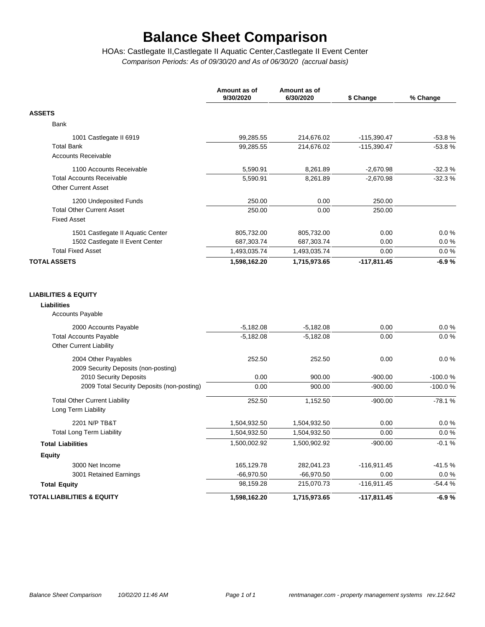# **Balance Sheet Comparison**

*Comparison Periods: As of 09/30/20 and As of 06/30/20 (accrual basis)* HOAs: Castlegate II,Castlegate II Aquatic Center,Castlegate II Event Center

|                                                                                   | Amount as of<br>9/30/2020  | Amount as of<br>6/30/2020  | \$ Change     | % Change     |
|-----------------------------------------------------------------------------------|----------------------------|----------------------------|---------------|--------------|
| <b>ASSETS</b>                                                                     |                            |                            |               |              |
| Bank                                                                              |                            |                            |               |              |
| 1001 Castlegate II 6919                                                           | 99,285.55                  | 214,676.02                 | $-115,390.47$ | $-53.8%$     |
| <b>Total Bank</b>                                                                 | 99,285.55                  | 214,676.02                 | $-115,390.47$ | $-53.8%$     |
| <b>Accounts Receivable</b>                                                        |                            |                            |               |              |
| 1100 Accounts Receivable                                                          | 5,590.91                   | 8,261.89                   | $-2,670.98$   | $-32.3%$     |
| <b>Total Accounts Receivable</b><br><b>Other Current Asset</b>                    | 5,590.91                   | 8,261.89                   | $-2,670.98$   | $-32.3%$     |
| 1200 Undeposited Funds                                                            | 250.00                     | 0.00                       | 250.00        |              |
| <b>Total Other Current Asset</b><br><b>Fixed Asset</b>                            | 250.00                     | 0.00                       | 250.00        |              |
| 1501 Castlegate II Aquatic Center                                                 | 805,732.00                 | 805,732.00                 | 0.00          | 0.0%         |
| 1502 Castlegate II Event Center                                                   | 687,303.74                 | 687,303.74                 | 0.00          | 0.0%         |
| <b>Total Fixed Asset</b>                                                          | 1,493,035.74               | 1,493,035.74               | 0.00          | 0.0%         |
| <b>TOTAL ASSETS</b>                                                               | 1,598,162.20               | 1,715,973.65               | $-117,811.45$ | $-6.9%$      |
| <b>Accounts Payable</b><br>2000 Accounts Payable<br><b>Total Accounts Payable</b> | $-5,182.08$<br>$-5,182.08$ | $-5,182.08$<br>$-5,182.08$ | 0.00<br>0.00  | 0.0%<br>0.0% |
| Other Current Liability                                                           |                            |                            |               |              |
| 2004 Other Payables<br>2009 Security Deposits (non-posting)                       | 252.50                     | 252.50                     | 0.00          | 0.0%         |
| 2010 Security Deposits                                                            | 0.00                       | 900.00                     | $-900.00$     | $-100.0%$    |
| 2009 Total Security Deposits (non-posting)                                        | 0.00                       | 900.00                     | $-900.00$     | -100.0%      |
| <b>Total Other Current Liability</b><br>Long Term Liability                       | 252.50                     | 1,152.50                   | $-900.00$     | $-78.1%$     |
| 2201 N/P TB&T                                                                     | 1,504,932.50               | 1,504,932.50               | 0.00          | 0.0%         |
| <b>Total Long Term Liability</b>                                                  | 1,504,932.50               | 1,504,932.50               | 0.00          | 0.0 %        |
| <b>Total Liabilities</b>                                                          | 1,500,002.92               | 1,500,902.92               | $-900.00$     | $-0.1%$      |
| <b>Equity</b>                                                                     |                            |                            |               |              |
| 3000 Net Income                                                                   | 165,129.78                 | 282,041.23                 | $-116,911.45$ | $-41.5%$     |
| 3001 Retained Earnings                                                            | $-66,970.50$               | $-66,970.50$               | 0.00          | $0.0 \%$     |
| <b>Total Equity</b>                                                               | 98,159.28                  | 215,070.73                 | $-116,911.45$ | $-54.4%$     |
| <b>TOTAL LIABILITIES &amp; EQUITY</b>                                             | 1,598,162.20               | 1,715,973.65               | $-117,811.45$ | $-6.9%$      |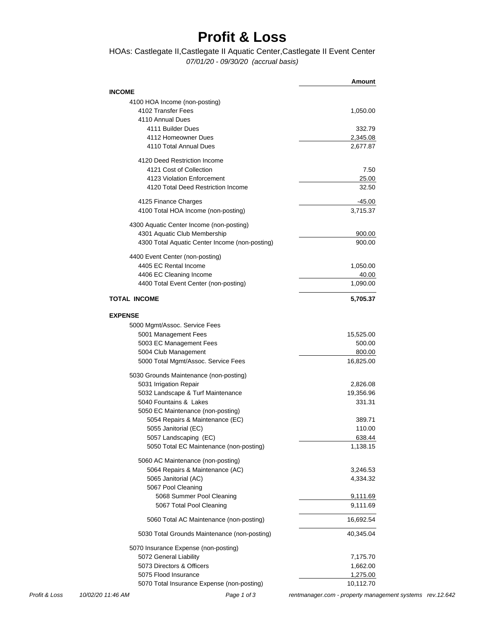## **Profit & Loss**

### *07/01/20 - 09/30/20 (accrual basis)* HOAs: Castlegate II,Castlegate II Aquatic Center,Castlegate II Event Center

|                                                                | Amount         |
|----------------------------------------------------------------|----------------|
| <b>INCOME</b>                                                  |                |
| 4100 HOA Income (non-posting)                                  |                |
| 4102 Transfer Fees                                             | 1,050.00       |
| 4110 Annual Dues                                               |                |
| 4111 Builder Dues                                              | 332.79         |
| 4112 Homeowner Dues                                            | 2,345.08       |
| 4110 Total Annual Dues                                         | 2,677.87       |
| 4120 Deed Restriction Income                                   |                |
| 4121 Cost of Collection                                        | 7.50           |
| 4123 Violation Enforcement                                     |                |
| 4120 Total Deed Restriction Income                             | 25.00<br>32.50 |
|                                                                |                |
| 4125 Finance Charges                                           | -45.00         |
| 4100 Total HOA Income (non-posting)                            | 3,715.37       |
| 4300 Aquatic Center Income (non-posting)                       |                |
| 4301 Aquatic Club Membership                                   | 900.00         |
| 4300 Total Aquatic Center Income (non-posting)                 | 900.00         |
| 4400 Event Center (non-posting)                                |                |
| 4405 EC Rental Income                                          | 1,050.00       |
| 4406 EC Cleaning Income                                        | 40.00          |
| 4400 Total Event Center (non-posting)                          | 1,090.00       |
| <b>TOTAL INCOME</b>                                            | 5,705.37       |
| <b>EXPENSE</b>                                                 |                |
| 5000 Mgmt/Assoc. Service Fees                                  |                |
| 5001 Management Fees                                           | 15,525.00      |
| 5003 EC Management Fees                                        | 500.00         |
| 5004 Club Management                                           | 800.00         |
| 5000 Total Mgmt/Assoc. Service Fees                            | 16,825.00      |
| 5030 Grounds Maintenance (non-posting)                         |                |
| 5031 Irrigation Repair                                         | 2,826.08       |
| 5032 Landscape & Turf Maintenance                              | 19,356.96      |
| 5040 Fountains & Lakes                                         | 331.31         |
| 5050 EC Maintenance (non-posting)                              |                |
| 5054 Repairs & Maintenance (EC)                                | 389.71         |
| 5055 Janitorial (EC)                                           | 110.00         |
| 5057 Landscaping (EC)                                          | 638.44         |
| 5050 Total EC Maintenance (non-posting)                        | 1,138.15       |
| 5060 AC Maintenance (non-posting)                              |                |
| 5064 Repairs & Maintenance (AC)                                | 3,246.53       |
| 5065 Janitorial (AC)                                           | 4,334.32       |
| 5067 Pool Cleaning                                             |                |
| 5068 Summer Pool Cleaning                                      | 9,111.69       |
| 5067 Total Pool Cleaning                                       | 9,111.69       |
|                                                                |                |
| 5060 Total AC Maintenance (non-posting)                        | 16,692.54      |
| 5030 Total Grounds Maintenance (non-posting)                   | 40,345.04      |
| 5070 Insurance Expense (non-posting)<br>5072 General Liability |                |
| 5073 Directors & Officers                                      | 7,175.70       |
|                                                                | 1,662.00       |
| 5075 Flood Insurance                                           | 1,275.00       |
| 5070 Total Insurance Expense (non-posting)                     | 10,112.70      |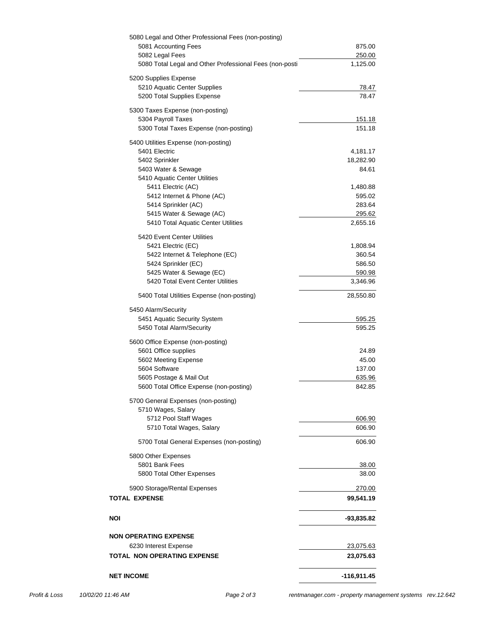| <b>NET INCOME</b>                                                                  | $-116,911.45$          |
|------------------------------------------------------------------------------------|------------------------|
|                                                                                    |                        |
| 6230 Interest Expense<br><b>TOTAL NON OPERATING EXPENSE</b>                        | 23,075.63<br>23,075.63 |
| <b>NON OPERATING EXPENSE</b>                                                       |                        |
| NOI                                                                                | -93,835.82             |
| <b>TOTAL EXPENSE</b>                                                               | 99,541.19              |
| 5900 Storage/Rental Expenses                                                       | 270.00                 |
| 5800 Other Expenses<br>5801 Bank Fees<br>5800 Total Other Expenses                 | 38.00<br>38.00         |
| 5700 Total General Expenses (non-posting)                                          | 606.90                 |
| 5710 Total Wages, Salary                                                           | 606.90                 |
| 5700 General Expenses (non-posting)<br>5710 Wages, Salary<br>5712 Pool Staff Wages | 606.90                 |
| 5605 Postage & Mail Out<br>5600 Total Office Expense (non-posting)                 | 635.96<br>842.85       |
| 5604 Software                                                                      | 137.00                 |
| 5602 Meeting Expense                                                               | 45.00                  |
| 5600 Office Expense (non-posting)<br>5601 Office supplies                          | 24.89                  |
| 5450 Alarm/Security<br>5451 Aquatic Security System<br>5450 Total Alarm/Security   | 595.25<br>595.25       |
| 5400 Total Utilities Expense (non-posting)                                         | 28,550.80              |
| 5420 Total Event Center Utilities                                                  | 3,346.96               |
| 5425 Water & Sewage (EC)                                                           | 590.98                 |
| 5422 Internet & Telephone (EC)<br>5424 Sprinkler (EC)                              | 360.54<br>586.50       |
| 5420 Event Center Utilities<br>5421 Electric (EC)                                  | 1,808.94               |
| 5415 Water & Sewage (AC)<br>5410 Total Aquatic Center Utilities                    | 295.62<br>2,655.16     |
| 5414 Sprinkler (AC)                                                                | 283.64                 |
| 5411 Electric (AC)<br>5412 Internet & Phone (AC)                                   | 1,480.88<br>595.02     |
| 5410 Aquatic Center Utilities                                                      |                        |
| 5403 Water & Sewage                                                                | 84.61                  |
| 5402 Sprinkler                                                                     | 18,282.90              |
| 5400 Utilities Expense (non-posting)<br>5401 Electric                              | 4,181.17               |
| 5304 Payroll Taxes<br>5300 Total Taxes Expense (non-posting)                       | 151.18<br>151.18       |
| 5200 Total Supplies Expense<br>5300 Taxes Expense (non-posting)                    | 78.47                  |
| 5200 Supplies Expense<br>5210 Aquatic Center Supplies                              | 78.47                  |
| 5080 Total Legal and Other Professional Fees (non-posti                            | 1,125.00               |
| 5081 Accounting Fees<br>5082 Legal Fees                                            | 875.00<br>250.00       |
| 5080 Legal and Other Professional Fees (non-posting)                               |                        |

*Profit & Loss 10/02/20 11:46 AM Page 2 of 3 [rentmanager.com - property management systems rev.12.642](http://www.rentmanager.com)*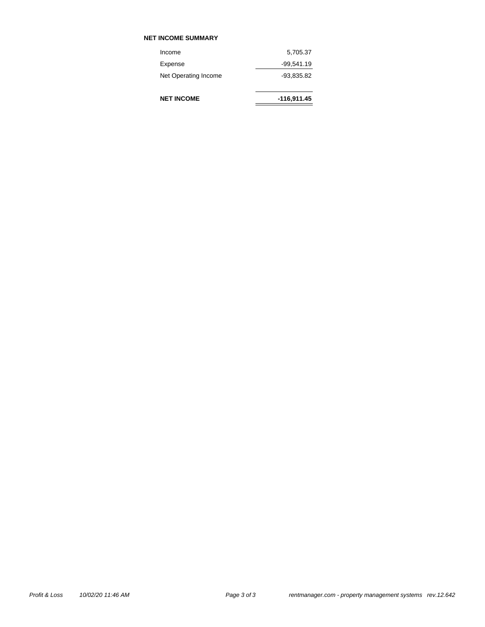### **NET INCOME SUMMARY**

**NET INCOME**

| Income               | 5,705.37     |
|----------------------|--------------|
| Expense              | $-99,541.19$ |
| Net Operating Income | -93.835.82   |

| $-116,911.45$ |
|---------------|
|               |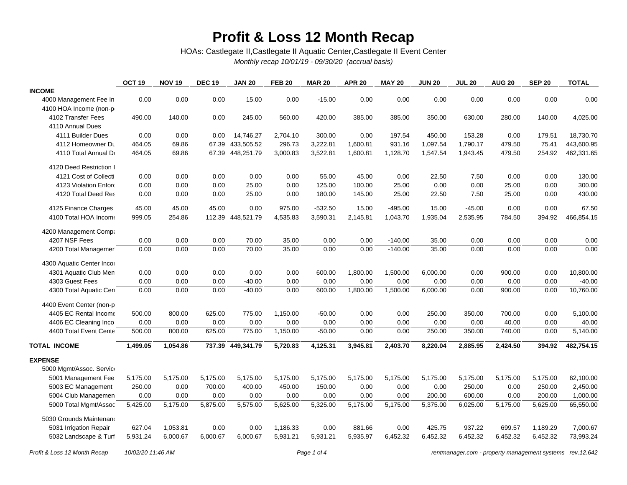## **Profit & Loss 12 Month Recap**

HOAs: Castlegate II,Castlegate II Aquatic Center,Castlegate II Event Center

*Monthly recap 10/01/19 - 09/30/20 (accrual basis)*

|                           | OCT <sub>19</sub> | <b>NOV 19</b> | <b>DEC 19</b> | <b>JAN 20</b>     | <b>FEB 20</b> | <b>MAR 20</b> | <b>APR 20</b> | <b>MAY 20</b> | <b>JUN 20</b> | <b>JUL 20</b> | <b>AUG 20</b> | <b>SEP 20</b> | <b>TOTAL</b> |
|---------------------------|-------------------|---------------|---------------|-------------------|---------------|---------------|---------------|---------------|---------------|---------------|---------------|---------------|--------------|
| <b>INCOME</b>             |                   |               |               |                   |               |               |               |               |               |               |               |               |              |
| 4000 Management Fee In    | 0.00              | 0.00          | 0.00          | 15.00             | 0.00          | $-15.00$      | 0.00          | 0.00          | 0.00          | 0.00          | 0.00          | 0.00          | 0.00         |
| 4100 HOA Income (non-p    |                   |               |               |                   |               |               |               |               |               |               |               |               |              |
| 4102 Transfer Fees        | 490.00            | 140.00        | 0.00          | 245.00            | 560.00        | 420.00        | 385.00        | 385.00        | 350.00        | 630.00        | 280.00        | 140.00        | 4,025.00     |
| 4110 Annual Dues          |                   |               |               |                   |               |               |               |               |               |               |               |               |              |
| 4111 Builder Dues         | 0.00              | 0.00          | 0.00          | 14,746.27         | 2,704.10      | 300.00        | 0.00          | 197.54        | 450.00        | 153.28        | 0.00          | 179.51        | 18,730.70    |
| 4112 Homeowner Du         | 464.05            | 69.86         | 67.39         | 433,505.52        | 296.73        | 3,222.81      | 1,600.81      | 931.16        | 1,097.54      | 1,790.17      | 479.50        | 75.41         | 443,600.95   |
| 4110 Total Annual Dr      | 464.05            | 69.86         | 67.39         | 448,251.79        | 3,000.83      | 3,522.81      | 1,600.81      | 1,128.70      | 1,547.54      | 1,943.45      | 479.50        | 254.92        | 462,331.65   |
| 4120 Deed Restriction I   |                   |               |               |                   |               |               |               |               |               |               |               |               |              |
| 4121 Cost of Collecti     | 0.00              | 0.00          | 0.00          | 0.00              | 0.00          | 55.00         | 45.00         | 0.00          | 22.50         | 7.50          | 0.00          | 0.00          | 130.00       |
| 4123 Violation Enford     | 0.00              | 0.00          | 0.00          | 25.00             | 0.00          | 125.00        | 100.00        | 25.00         | 0.00          | 0.00          | 25.00         | 0.00          | 300.00       |
| 4120 Total Deed Res       | 0.00              | 0.00          | 0.00          | 25.00             | 0.00          | 180.00        | 145.00        | 25.00         | 22.50         | 7.50          | 25.00         | 0.00          | 430.00       |
| 4125 Finance Charges      | 45.00             | 45.00         | 45.00         | 0.00              | 975.00        | $-532.50$     | 15.00         | $-495.00$     | 15.00         | $-45.00$      | 0.00          | 0.00          | 67.50        |
| 4100 Total HOA Income     | 999.05            | 254.86        | 112.39        | 448,521.79        | 4,535.83      | 3,590.31      | 2,145.81      | 1,043.70      | 1,935.04      | 2,535.95      | 784.50        | 394.92        | 466,854.15   |
| 4200 Management Compa     |                   |               |               |                   |               |               |               |               |               |               |               |               |              |
| 4207 NSF Fees             | 0.00              | 0.00          | 0.00          | 70.00             | 35.00         | 0.00          | 0.00          | $-140.00$     | 35.00         | 0.00          | 0.00          | 0.00          | 0.00         |
| 4200 Total Managemer      | 0.00              | 0.00          | 0.00          | 70.00             | 35.00         | 0.00          | 0.00          | $-140.00$     | 35.00         | 0.00          | 0.00          | 0.00          | 0.00         |
| 4300 Aquatic Center Incor |                   |               |               |                   |               |               |               |               |               |               |               |               |              |
| 4301 Aquatic Club Men     | 0.00              | 0.00          | 0.00          | 0.00              | 0.00          | 600.00        | 1,800.00      | 1,500.00      | 6,000.00      | 0.00          | 900.00        | 0.00          | 10,800.00    |
| 4303 Guest Fees           | 0.00              | 0.00          | 0.00          | $-40.00$          | 0.00          | 0.00          | 0.00          | 0.00          | 0.00          | 0.00          | 0.00          | 0.00          | $-40.00$     |
| 4300 Total Aquatic Cen    | 0.00              | 0.00          | 0.00          | $-40.00$          | 0.00          | 600.00        | 1,800.00      | 1,500.00      | 6,000.00      | 0.00          | 900.00        | 0.00          | 10,760.00    |
| 4400 Event Center (non-p  |                   |               |               |                   |               |               |               |               |               |               |               |               |              |
| 4405 EC Rental Income     | 500.00            | 800.00        | 625.00        | 775.00            | 1,150.00      | $-50.00$      | 0.00          | 0.00          | 250.00        | 350.00        | 700.00        | 0.00          | 5,100.00     |
| 4406 EC Cleaning Inco     | 0.00              | 0.00          | 0.00          | 0.00              | 0.00          | 0.00          | 0.00          | 0.00          | 0.00          | 0.00          | 40.00         | 0.00          | 40.00        |
| 4400 Total Event Cente    | 500.00            | 800.00        | 625.00        | 775.00            | 1,150.00      | $-50.00$      | 0.00          | 0.00          | 250.00        | 350.00        | 740.00        | 0.00          | 5,140.00     |
| <b>TOTAL INCOME</b>       | 1,499.05          | 1,054.86      |               | 737.39 449,341.79 | 5,720.83      | 4,125.31      | 3,945.81      | 2,403.70      | 8,220.04      | 2,885.95      | 2,424.50      | 394.92        | 482,754.15   |
| <b>EXPENSE</b>            |                   |               |               |                   |               |               |               |               |               |               |               |               |              |
| 5000 Mgmt/Assoc. Service  |                   |               |               |                   |               |               |               |               |               |               |               |               |              |
| 5001 Management Fee       | 5,175.00          | 5,175.00      | 5,175.00      | 5,175.00          | 5,175.00      | 5,175.00      | 5,175.00      | 5,175.00      | 5,175.00      | 5,175.00      | 5,175.00      | 5,175.00      | 62,100.00    |
| 5003 EC Management        | 250.00            | 0.00          | 700.00        | 400.00            | 450.00        | 150.00        | 0.00          | 0.00          | 0.00          | 250.00        | 0.00          | 250.00        | 2,450.00     |
| 5004 Club Managemen       | 0.00              | 0.00          | 0.00          | 0.00              | 0.00          | 0.00          | 0.00          | 0.00          | 200.00        | 600.00        | 0.00          | 200.00        | 1,000.00     |
| 5000 Total Mgmt/Assoc     | 5,425.00          | 5,175.00      | 5,875.00      | 5,575.00          | 5,625.00      | 5,325.00      | 5,175.00      | 5,175.00      | 5,375.00      | 6,025.00      | 5,175.00      | 5,625.00      | 65,550.00    |
| 5030 Grounds Maintenano   |                   |               |               |                   |               |               |               |               |               |               |               |               |              |
| 5031 Irrigation Repair    | 627.04            | 1,053.81      | 0.00          | 0.00              | 1,186.33      | 0.00          | 881.66        | 0.00          | 425.75        | 937.22        | 699.57        | 1,189.29      | 7,000.67     |
| 5032 Landscape & Turf     | 5,931.24          | 6,000.67      | 6,000.67      | 6,000.67          | 5,931.21      | 5,931.21      | 5,935.97      | 6,452.32      | 6,452.32      | 6,452.32      | 6,452.32      | 6,452.32      | 73,993.24    |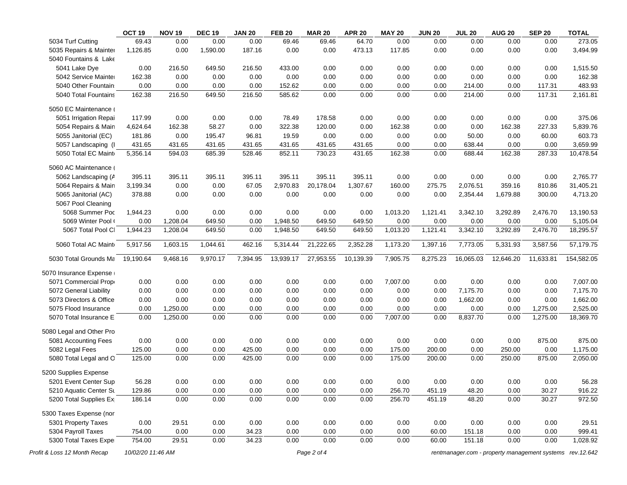|                              | OCT <sub>19</sub> | <b>NOV 19</b> | <b>DEC 19</b> | <b>JAN 20</b> | <b>FEB 20</b> | <b>MAR 20</b> | <b>APR 20</b> | <b>MAY 20</b> | <b>JUN 20</b> | <b>JUL 20</b> | <b>AUG 20</b> | <b>SEP 20</b>                                             | <b>TOTAL</b> |
|------------------------------|-------------------|---------------|---------------|---------------|---------------|---------------|---------------|---------------|---------------|---------------|---------------|-----------------------------------------------------------|--------------|
| 5034 Turf Cutting            | 69.43             | 0.00          | 0.00          | 0.00          | 69.46         | 69.46         | 64.70         | 0.00          | 0.00          | 0.00          | 0.00          | 0.00                                                      | 273.05       |
| 5035 Repairs & Mainter       | 1,126.85          | 0.00          | 1,590.00      | 187.16        | 0.00          | 0.00          | 473.13        | 117.85        | 0.00          | 0.00          | 0.00          | 0.00                                                      | 3,494.99     |
| 5040 Fountains & Lake        |                   |               |               |               |               |               |               |               |               |               |               |                                                           |              |
| 5041 Lake Dye                | 0.00              | 216.50        | 649.50        | 216.50        | 433.00        | 0.00          | 0.00          | 0.00          | 0.00          | 0.00          | 0.00          | 0.00                                                      | 1,515.50     |
| 5042 Service Mainter         | 162.38            | 0.00          | 0.00          | 0.00          | 0.00          | 0.00          | 0.00          | 0.00          | 0.00          | 0.00          | 0.00          | 0.00                                                      | 162.38       |
| 5040 Other Fountain          | 0.00              | 0.00          | 0.00          | 0.00          | 152.62        | 0.00          | 0.00          | 0.00          | 0.00          | 214.00        | 0.00          | 117.31                                                    | 483.93       |
| 5040 Total Fountains         | 162.38            | 216.50        | 649.50        | 216.50        | 585.62        | 0.00          | 0.00          | 0.00          | 0.00          | 214.00        | 0.00          | 117.31                                                    | 2,161.81     |
| 5050 EC Maintenance (        |                   |               |               |               |               |               |               |               |               |               |               |                                                           |              |
| 5051 Irrigation Repai        | 117.99            | 0.00          | 0.00          | 0.00          | 78.49         | 178.58        | 0.00          | 0.00          | 0.00          | 0.00          | 0.00          | 0.00                                                      | 375.06       |
| 5054 Repairs & Main          | 4,624.64          | 162.38        | 58.27         | 0.00          | 322.38        | 120.00        | 0.00          | 162.38        | 0.00          | 0.00          | 162.38        | 227.33                                                    | 5,839.76     |
| 5055 Janitorial (EC)         | 181.86            | 0.00          | 195.47        | 96.81         | 19.59         | 0.00          | 0.00          | 0.00          | 0.00          | 50.00         | 0.00          | 60.00                                                     | 603.73       |
| 5057 Landscaping (I          | 431.65            | 431.65        | 431.65        | 431.65        | 431.65        | 431.65        | 431.65        | 0.00          | 0.00          | 638.44        | 0.00          | 0.00                                                      | 3,659.99     |
| 5050 Total EC Maint          | 5,356.14          | 594.03        | 685.39        | 528.46        | 852.11        | 730.23        | 431.65        | 162.38        | 0.00          | 688.44        | 162.38        | 287.33                                                    | 10,478.54    |
| 5060 AC Maintenance (        |                   |               |               |               |               |               |               |               |               |               |               |                                                           |              |
| 5062 Landscaping (A          | 395.11            | 395.11        | 395.11        | 395.11        | 395.11        | 395.11        | 395.11        | 0.00          | 0.00          | 0.00          | 0.00          | 0.00                                                      | 2,765.77     |
| 5064 Repairs & Main          | 3,199.34          | 0.00          | 0.00          | 67.05         | 2,970.83      | 20,178.04     | 1,307.67      | 160.00        | 275.75        | 2,076.51      | 359.16        | 810.86                                                    | 31,405.21    |
| 5065 Janitorial (AC)         | 378.88            | 0.00          | 0.00          | 0.00          | 0.00          | 0.00          | 0.00          | 0.00          | 0.00          | 2,354.44      | 1,679.88      | 300.00                                                    | 4,713.20     |
| 5067 Pool Cleaning           |                   |               |               |               |               |               |               |               |               |               |               |                                                           |              |
| 5068 Summer Poc              | 1,944.23          | 0.00          | 0.00          | 0.00          | 0.00          | 0.00          | 0.00          | 1,013.20      | 1,121.41      | 3,342.10      | 3,292.89      | 2,476.70                                                  | 13,190.53    |
| 5069 Winter Pool (           | 0.00              | 1,208.04      | 649.50        | 0.00          | 1,948.50      | 649.50        | 649.50        | 0.00          | 0.00          | 0.00          | 0.00          | 0.00                                                      | 5,105.04     |
| 5067 Total Pool Cl           | 1,944.23          | 1,208.04      | 649.50        | 0.00          | 1,948.50      | 649.50        | 649.50        | 1,013.20      | 1,121.41      | 3,342.10      | 3,292.89      | 2,476.70                                                  | 18,295.57    |
| 5060 Total AC Maint          | 5,917.56          | 1,603.15      | 1,044.61      | 462.16        | 5,314.44      | 21,222.65     | 2,352.28      | 1,173.20      | 1,397.16      | 7,773.05      | 5,331.93      | 3,587.56                                                  | 57,179.75    |
| 5030 Total Grounds Ma        | 19,190.64         | 9,468.16      | 9,970.17      | 7,394.95      | 13,939.17     | 27,953.55     | 10,139.39     | 7,905.75      | 8,275.23      | 16,065.03     | 12,646.20     | 11,633.81                                                 | 154,582.05   |
| 5070 Insurance Expense       |                   |               |               |               |               |               |               |               |               |               |               |                                                           |              |
| 5071 Commercial Prope        | 0.00              | 0.00          | 0.00          | 0.00          | 0.00          | 0.00          | 0.00          | 7,007.00      | 0.00          | 0.00          | 0.00          | 0.00                                                      | 7,007.00     |
| 5072 General Liability       | 0.00              | 0.00          | 0.00          | 0.00          | 0.00          | 0.00          | 0.00          | 0.00          | 0.00          | 7,175.70      | 0.00          | 0.00                                                      | 7,175.70     |
| 5073 Directors & Office      | 0.00              | 0.00          | 0.00          | 0.00          | 0.00          | 0.00          | 0.00          | 0.00          | 0.00          | 1,662.00      | 0.00          | 0.00                                                      | 1,662.00     |
| 5075 Flood Insurance         | 0.00              | 1,250.00      | 0.00          | 0.00          | 0.00          | 0.00          | 0.00          | 0.00          | 0.00          | 0.00          | 0.00          | 1,275.00                                                  | 2,525.00     |
| 5070 Total Insurance E       | 0.00              | 1,250.00      | 0.00          | 0.00          | 0.00          | 0.00          | 0.00          | 7,007.00      | 0.00          | 8,837.70      | 0.00          | 1,275.00                                                  | 18,369.70    |
| 5080 Legal and Other Pro     |                   |               |               |               |               |               |               |               |               |               |               |                                                           |              |
| 5081 Accounting Fees         | 0.00              | 0.00          | 0.00          | 0.00          | 0.00          | 0.00          | 0.00          | 0.00          | 0.00          | 0.00          | 0.00          | 875.00                                                    | 875.00       |
| 5082 Legal Fees              | 125.00            | 0.00          | 0.00          | 425.00        | 0.00          | 0.00          | 0.00          | 175.00        | 200.00        | 0.00          | 250.00        | 0.00                                                      | 1,175.00     |
| 5080 Total Legal and O       | 125.00            | 0.00          | 0.00          | 425.00        | 0.00          | 0.00          | 0.00          | 175.00        | 200.00        | 0.00          | 250.00        | 875.00                                                    | 2,050.00     |
| 5200 Supplies Expense        |                   |               |               |               |               |               |               |               |               |               |               |                                                           |              |
| 5201 Event Center Sup        | 56.28             | 0.00          | 0.00          | 0.00          | 0.00          | 0.00          | 0.00          | 0.00          | 0.00          | 0.00          | 0.00          | 0.00                                                      | 56.28        |
| 5210 Aquatic Center Su       | 129.86            | 0.00          | 0.00          | 0.00          | 0.00          | 0.00          | 0.00          | 256.70        | 451.19        | 48.20         | 0.00          | 30.27                                                     | 916.22       |
| 5200 Total Supplies Ex       | 186.14            | 0.00          | 0.00          | 0.00          | 0.00          | 0.00          | 0.00          | 256.70        | 451.19        | 48.20         | 0.00          | 30.27                                                     | 972.50       |
| 5300 Taxes Expense (nor      |                   |               |               |               |               |               |               |               |               |               |               |                                                           |              |
| 5301 Property Taxes          | 0.00              | 29.51         | 0.00          | 0.00          | 0.00          | 0.00          | 0.00          | 0.00          | 0.00          | 0.00          | 0.00          | 0.00                                                      | 29.51        |
| 5304 Payroll Taxes           | 754.00            | 0.00          | 0.00          | 34.23         | 0.00          | 0.00          | 0.00          | 0.00          | 60.00         | 151.18        | 0.00          | 0.00                                                      | 999.41       |
| 5300 Total Taxes Exper       | 754.00            | 29.51         | 0.00          | 34.23         | 0.00          | 0.00          | 0.00          | 0.00          | 60.00         | 151.18        | 0.00          | 0.00                                                      | 1,028.92     |
| Profit & Loss 12 Month Recap | 10/02/20 11:46 AM |               |               |               |               | Page 2 of 4   |               |               |               |               |               | rentmanager.com - property management systems rev. 12.642 |              |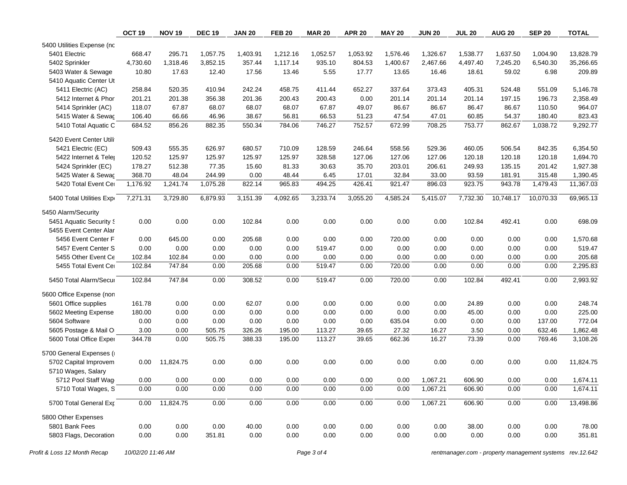|                            | OCT <sub>19</sub> | <b>NOV 19</b> | <b>DEC 19</b> | <b>JAN 20</b> | <b>FEB 20</b> | <b>MAR 20</b> | <b>APR 20</b> | <b>MAY 20</b> | <b>JUN 20</b> | <b>JUL 20</b> | <b>AUG 20</b> | <b>SEP 20</b> | <b>TOTAL</b> |
|----------------------------|-------------------|---------------|---------------|---------------|---------------|---------------|---------------|---------------|---------------|---------------|---------------|---------------|--------------|
| 5400 Utilities Expense (nc |                   |               |               |               |               |               |               |               |               |               |               |               |              |
| 5401 Electric              | 668.47            | 295.71        | 1,057.75      | 1,403.91      | 1,212.16      | 1.052.57      | 1,053.92      | 1,576.46      | 1,326.67      | 1,538.77      | 1,637.50      | 1,004.90      | 13,828.79    |
| 5402 Sprinkler             | 4,730.60          | 1,318.46      | 3,852.15      | 357.44        | 1,117.14      | 935.10        | 804.53        | 1,400.67      | 2,467.66      | 4,497.40      | 7,245.20      | 6,540.30      | 35,266.65    |
| 5403 Water & Sewage        | 10.80             | 17.63         | 12.40         | 17.56         | 13.46         | 5.55          | 17.77         | 13.65         | 16.46         | 18.61         | 59.02         | 6.98          | 209.89       |
| 5410 Aquatic Center Ut     |                   |               |               |               |               |               |               |               |               |               |               |               |              |
| 5411 Electric (AC)         | 258.84            | 520.35        | 410.94        | 242.24        | 458.75        | 411.44        | 652.27        | 337.64        | 373.43        | 405.31        | 524.48        | 551.09        | 5,146.78     |
| 5412 Internet & Phor       | 201.21            | 201.38        | 356.38        | 201.36        | 200.43        | 200.43        | 0.00          | 201.14        | 201.14        | 201.14        | 197.15        | 196.73        | 2,358.49     |
| 5414 Sprinkler (AC)        | 118.07            | 67.87         | 68.07         | 68.07         | 68.07         | 67.87         | 49.07         | 86.67         | 86.67         | 86.47         | 86.67         | 110.50        | 964.07       |
| 5415 Water & Sewac         | 106.40            | 66.66         | 46.96         | 38.67         | 56.81         | 66.53         | 51.23         | 47.54         | 47.01         | 60.85         | 54.37         | 180.40        | 823.43       |
| 5410 Total Aquatic C       | 684.52            | 856.26        | 882.35        | 550.34        | 784.06        | 746.27        | 752.57        | 672.99        | 708.25        | 753.77        | 862.67        | 1,038.72      | 9,292.77     |
| 5420 Event Center Utili    |                   |               |               |               |               |               |               |               |               |               |               |               |              |
| 5421 Electric (EC)         | 509.43            | 555.35        | 626.97        | 680.57        | 710.09        | 128.59        | 246.64        | 558.56        | 529.36        | 460.05        | 506.54        | 842.35        | 6,354.50     |
| 5422 Internet & Teler      | 120.52            | 125.97        | 125.97        | 125.97        | 125.97        | 328.58        | 127.06        | 127.06        | 127.06        | 120.18        | 120.18        | 120.18        | 1,694.70     |
| 5424 Sprinkler (EC)        | 178.27            | 512.38        | 77.35         | 15.60         | 81.33         | 30.63         | 35.70         | 203.01        | 206.61        | 249.93        | 135.15        | 201.42        | 1,927.38     |
| 5425 Water & Sewac         | 368.70            | 48.04         | 244.99        | 0.00          | 48.44         | 6.45          | 17.01         | 32.84         | 33.00         | 93.59         | 181.91        | 315.48        | 1,390.45     |
| 5420 Total Event Cer       | 1,176.92          | 1,241.74      | 1,075.28      | 822.14        | 965.83        | 494.25        | 426.41        | 921.47        | 896.03        | 923.75        | 943.78        | 1,479.43      | 11,367.03    |
| 5400 Total Utilities Expr  | 7,271.31          | 3,729.80      | 6,879.93      | 3,151.39      | 4,092.65      | 3,233.74      | 3,055.20      | 4,585.24      | 5,415.07      | 7,732.30      | 10,748.17     | 10,070.33     | 69,965.13    |
| 5450 Alarm/Security        |                   |               |               |               |               |               |               |               |               |               |               |               |              |
| 5451 Aquatic Security S    | 0.00              | 0.00          | 0.00          | 102.84        | 0.00          | 0.00          | 0.00          | 0.00          | 0.00          | 102.84        | 492.41        | 0.00          | 698.09       |
| 5455 Event Center Alar     |                   |               |               |               |               |               |               |               |               |               |               |               |              |
| 5456 Event Center F        | 0.00              | 645.00        | 0.00          | 205.68        | 0.00          | 0.00          | 0.00          | 720.00        | 0.00          | 0.00          | 0.00          | 0.00          | 1,570.68     |
| 5457 Event Center S        | 0.00              | 0.00          | 0.00          | 0.00          | 0.00          | 519.47        | 0.00          | 0.00          | 0.00          | 0.00          | 0.00          | 0.00          | 519.47       |
| 5455 Other Event Ce        | 102.84            | 102.84        | 0.00          | 0.00          | 0.00          | 0.00          | 0.00          | 0.00          | 0.00          | 0.00          | 0.00          | 0.00          | 205.68       |
| 5455 Total Event Cer       | 102.84            | 747.84        | 0.00          | 205.68        | 0.00          | 519.47        | 0.00          | 720.00        | 0.00          | 0.00          | 0.00          | 0.00          | 2,295.83     |
| 5450 Total Alarm/Secur     | 102.84            | 747.84        | 0.00          | 308.52        | 0.00          | 519.47        | 0.00          | 720.00        | 0.00          | 102.84        | 492.41        | 0.00          | 2,993.92     |
| 5600 Office Expense (non   |                   |               |               |               |               |               |               |               |               |               |               |               |              |
| 5601 Office supplies       | 161.78            | 0.00          | 0.00          | 62.07         | 0.00          | 0.00          | 0.00          | 0.00          | 0.00          | 24.89         | 0.00          | 0.00          | 248.74       |
| 5602 Meeting Expense       | 180.00            | 0.00          | 0.00          | 0.00          | 0.00          | 0.00          | 0.00          | 0.00          | 0.00          | 45.00         | 0.00          | 0.00          | 225.00       |
| 5604 Software              | 0.00              | 0.00          | 0.00          | 0.00          | 0.00          | 0.00          | 0.00          | 635.04        | 0.00          | 0.00          | 0.00          | 137.00        | 772.04       |
| 5605 Postage & Mail O      | 3.00              | 0.00          | 505.75        | 326.26        | 195.00        | 113.27        | 39.65         | 27.32         | 16.27         | 3.50          | 0.00          | 632.46        | 1,862.48     |
| 5600 Total Office Exper    | 344.78            | 0.00          | 505.75        | 388.33        | 195.00        | 113.27        | 39.65         | 662.36        | 16.27         | 73.39         | 0.00          | 769.46        | 3,108.26     |
| 5700 General Expenses (    |                   |               |               |               |               |               |               |               |               |               |               |               |              |
| 5702 Capital Improvem      | 0.00              | 11,824.75     | 0.00          | 0.00          | 0.00          | 0.00          | 0.00          | 0.00          | 0.00          | 0.00          | 0.00          | 0.00          | 11,824.75    |
| 5710 Wages, Salary         |                   |               |               |               |               |               |               |               |               |               |               |               |              |
| 5712 Pool Staff Wag        | 0.00              | 0.00          | 0.00          | 0.00          | 0.00          | 0.00          | 0.00          | 0.00          | 1,067.21      | 606.90        | 0.00          | 0.00          | 1,674.11     |
| 5710 Total Wages, S        | 0.00              | 0.00          | 0.00          | 0.00          | 0.00          | 0.00          | 0.00          | 0.00          | 1,067.21      | 606.90        | 0.00          | 0.00          | 1,674.11     |
| 5700 Total General Exp     | 0.00              | 11,824.75     | 0.00          | 0.00          | 0.00          | 0.00          | 0.00          | 0.00          | 1,067.21      | 606.90        | 0.00          | 0.00          | 13,498.86    |
| 5800 Other Expenses        |                   |               |               |               |               |               |               |               |               |               |               |               |              |
| 5801 Bank Fees             | 0.00              | 0.00          | 0.00          | 40.00         | 0.00          | 0.00          | 0.00          | 0.00          | 0.00          | 38.00         | 0.00          | 0.00          | 78.00        |
| 5803 Flags, Decoration     | 0.00              | 0.00          | 351.81        | 0.00          | 0.00          | 0.00          | 0.00          | 0.00          | 0.00          | 0.00          | 0.00          | 0.00          | 351.81       |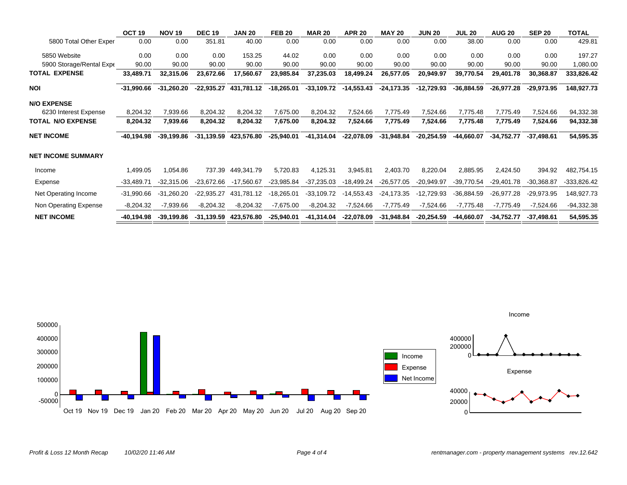|                           | OCT <sub>19</sub> | <b>NOV 19</b> | <b>DEC 19</b> | <b>JAN 20</b>         | <b>FEB 20</b> | <b>MAR 20</b> | <b>APR 20</b> | <b>MAY 20</b> | <b>JUN 20</b> | <b>JUL 20</b> | <b>AUG 20</b> | <b>SEP 20</b> | <b>TOTAL</b>  |
|---------------------------|-------------------|---------------|---------------|-----------------------|---------------|---------------|---------------|---------------|---------------|---------------|---------------|---------------|---------------|
| 5800 Total Other Exper    | 0.00              | 0.00          | 351.81        | 40.00                 | 0.00          | 0.00          | 0.00          | 0.00          | 0.00          | 38.00         | 0.00          | 0.00          | 429.81        |
| 5850 Website              | 0.00              | 0.00          | 0.00          | 153.25                | 44.02         | 0.00          | 0.00          | 0.00          | 0.00          | 0.00          | 0.00          | 0.00          | 197.27        |
| 5900 Storage/Rental Expe  | 90.00             | 90.00         | 90.00         | 90.00                 | 90.00         | 90.00         | 90.00         | 90.00         | 90.00         | 90.00         | 90.00         | 90.00         | 1,080.00      |
| <b>TOTAL EXPENSE</b>      | 33,489.71         | 32,315.06     | 23,672.66     | 17,560.67             | 23,985.84     | 37,235.03     | 18,499.24     | 26,577.05     | 20,949.97     | 39,770.54     | 29,401.78     | 30,368.87     | 333,826.42    |
| NOI                       | $-31,990.66$      | $-31,260.20$  | $-22,935.27$  | 431,781.12            | $-18,265.01$  | $-33,109.72$  | $-14,553.43$  | $-24,173.35$  | $-12,729.93$  | $-36,884.59$  | -26,977.28    | $-29,973.95$  | 148,927.73    |
| <b>N/O EXPENSE</b>        |                   |               |               |                       |               |               |               |               |               |               |               |               |               |
| 6230 Interest Expense     | 8,204.32          | 7,939.66      | 8,204.32      | 8,204.32              | 7,675.00      | 8,204.32      | 7,524.66      | 7,775.49      | 7,524.66      | 7,775.48      | 7,775.49      | 7,524.66      | 94,332.38     |
| <b>TOTAL N/O EXPENSE</b>  | 8,204.32          | 7,939.66      | 8,204.32      | 8,204.32              | 7,675.00      | 8,204.32      | 7,524.66      | 7,775.49      | 7,524.66      | 7,775.48      | 7,775.49      | 7,524.66      | 94,332.38     |
| <b>NET INCOME</b>         | -40,194.98        | $-39,199.86$  | $-31,139.59$  | 423,576.80            | $-25,940.01$  | $-41,314.04$  | $-22,078.09$  | $-31,948.84$  | $-20,254.59$  | $-44,660.07$  | $-34,752.77$  | $-37.498.61$  | 54,595.35     |
| <b>NET INCOME SUMMARY</b> |                   |               |               |                       |               |               |               |               |               |               |               |               |               |
| Income                    | 1,499.05          | 1,054.86      | 737.39        | 449,341.79            | 5,720.83      | 4,125.31      | 3,945.81      | 2,403.70      | 8,220.04      | 2,885.95      | 2,424.50      | 394.92        | 482,754.15    |
| Expense                   | $-33,489.71$      | $-32,315.06$  | -23,672.66    | $-17,560.67$          | $-23,985.84$  | $-37,235.03$  | -18,499.24    | $-26,577.05$  | $-20,949.97$  | $-39,770.54$  | $-29,401.78$  | $-30,368.87$  | $-333,826.42$ |
| Net Operating Income      | $-31,990.66$      | $-31,260.20$  | $-22,935.27$  | 431,781.12            | $-18,265.01$  | $-33,109.72$  | $-14,553.43$  | $-24,173.35$  | $-12,729.93$  | $-36,884.59$  | $-26,977.28$  | $-29,973.95$  | 148,927.73    |
| Non Operating Expense     | $-8,204.32$       | -7,939.66     | $-8,204.32$   | $-8,204.32$           | $-7,675.00$   | $-8,204.32$   | $-7,524.66$   | $-7,775.49$   | $-7,524.66$   | $-7,775.48$   | $-7,775.49$   | $-7,524.66$   | $-94,332.38$  |
| <b>NET INCOME</b>         | -40,194.98        | -39,199.86    |               | -31,139.59 423,576.80 | -25,940.01    | -41,314.04    | -22,078.09    | $-31,948.84$  | -20,254.59    | -44,660.07    | $-34,752.77$  | $-37,498.61$  | 54,595.35     |



Income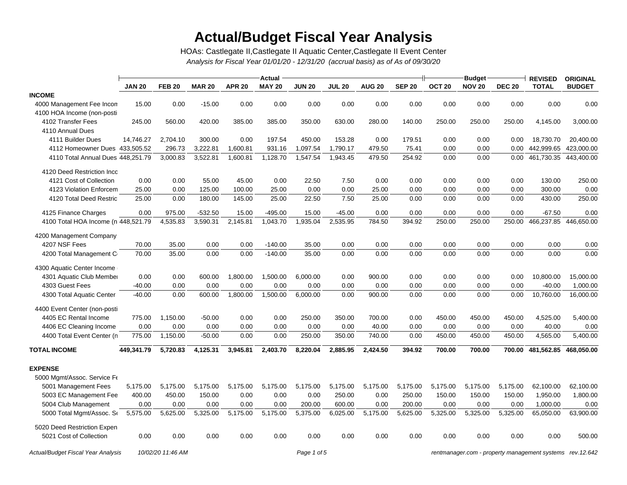# **Actual/Budget Fiscal Year Analysis**

*Analysis for Fiscal Year 01/01/20 - 12/31/20 (accrual basis) as of As of 09/30/20* HOAs: Castlegate II,Castlegate II Aquatic Center,Castlegate II Event Center

|                                           |               |                   |               |               | <b>Actual</b> |               |               |               |               | <b>Budget</b>     |               | <b>REVISED</b> | <b>ORIGINAL</b>                                          |               |
|-------------------------------------------|---------------|-------------------|---------------|---------------|---------------|---------------|---------------|---------------|---------------|-------------------|---------------|----------------|----------------------------------------------------------|---------------|
|                                           | <b>JAN 20</b> | <b>FEB 20</b>     | <b>MAR 20</b> | <b>APR 20</b> | <b>MAY 20</b> | <b>JUN 20</b> | <b>JUL 20</b> | <b>AUG 20</b> | <b>SEP 20</b> | OCT <sub>20</sub> | <b>NOV 20</b> | <b>DEC 20</b>  | <b>TOTAL</b>                                             | <b>BUDGET</b> |
| <b>INCOME</b>                             |               |                   |               |               |               |               |               |               |               |                   |               |                |                                                          |               |
| 4000 Management Fee Incon                 | 15.00         | 0.00              | $-15.00$      | 0.00          | 0.00          | 0.00          | 0.00          | 0.00          | 0.00          | 0.00              | 0.00          | 0.00           | 0.00                                                     | 0.00          |
| 4100 HOA Income (non-posti                |               |                   |               |               |               |               |               |               |               |                   |               |                |                                                          |               |
| 4102 Transfer Fees                        | 245.00        | 560.00            | 420.00        | 385.00        | 385.00        | 350.00        | 630.00        | 280.00        | 140.00        | 250.00            | 250.00        | 250.00         | 4,145.00                                                 | 3,000.00      |
| 4110 Annual Dues                          |               |                   |               |               |               |               |               |               |               |                   |               |                |                                                          |               |
| 4111 Builder Dues                         | 14,746.27     | 2,704.10          | 300.00        | 0.00          | 197.54        | 450.00        | 153.28        | 0.00          | 179.51        | 0.00              | 0.00          | 0.00           | 18,730.70                                                | 20,400.00     |
| 4112 Homeowner Dues 433,505.52            |               | 296.73            | 3,222.81      | 1,600.81      | 931.16        | 1,097.54      | 1,790.17      | 479.50        | 75.41         | 0.00              | 0.00          | 0.00           | 442,999.65                                               | 423,000.00    |
| 4110 Total Annual Dues 448,251.79         |               | 3,000.83          | 3,522.81      | 1,600.81      | 1,128.70      | 1,547.54      | 1,943.45      | 479.50        | 254.92        | 0.00              | 0.00          | 0.00           | 461,730.35                                               | 443,400.00    |
| 4120 Deed Restriction Inco                |               |                   |               |               |               |               |               |               |               |                   |               |                |                                                          |               |
| 4121 Cost of Collection                   | 0.00          | 0.00              | 55.00         | 45.00         | 0.00          | 22.50         | 7.50          | 0.00          | 0.00          | 0.00              | 0.00          | 0.00           | 130.00                                                   | 250.00        |
| 4123 Violation Enforcem                   | 25.00         | 0.00              | 125.00        | 100.00        | 25.00         | 0.00          | 0.00          | 25.00         | 0.00          | 0.00              | 0.00          | 0.00           | 300.00                                                   | 0.00          |
| 4120 Total Deed Restric                   | 25.00         | 0.00              | 180.00        | 145.00        | 25.00         | 22.50         | 7.50          | 25.00         | 0.00          | 0.00              | 0.00          | 0.00           | 430.00                                                   | 250.00        |
| 4125 Finance Charges                      | 0.00          | 975.00            | $-532.50$     | 15.00         | $-495.00$     | 15.00         | $-45.00$      | 0.00          | 0.00          | 0.00              | 0.00          | 0.00           | $-67.50$                                                 | 0.00          |
| 4100 Total HOA Income (n 448,521.79       |               | 4,535.83          | 3,590.31      | 2,145.81      | 1,043.70      | 1,935.04      | 2,535.95      | 784.50        | 394.92        | 250.00            | 250.00        | 250.00         | 466,237.85                                               | 446,650.00    |
| 4200 Management Company                   |               |                   |               |               |               |               |               |               |               |                   |               |                |                                                          |               |
| 4207 NSF Fees                             | 70.00         | 35.00             | 0.00          | 0.00          | $-140.00$     | 35.00         | 0.00          | 0.00          | 0.00          | 0.00              | 0.00          | 0.00           | 0.00                                                     | 0.00          |
| 4200 Total Management C                   | 70.00         | 35.00             | 0.00          | 0.00          | $-140.00$     | 35.00         | 0.00          | 0.00          | 0.00          | 0.00              | 0.00          | 0.00           | 0.00                                                     | 0.00          |
| 4300 Aquatic Center Income                |               |                   |               |               |               |               |               |               |               |                   |               |                |                                                          |               |
| 4301 Aquatic Club Member                  | 0.00          | 0.00              | 600.00        | 1,800.00      | 1,500.00      | 6,000.00      | 0.00          | 900.00        | 0.00          | 0.00              | 0.00          | 0.00           | 10,800.00                                                | 15,000.00     |
| 4303 Guest Fees                           | $-40.00$      | 0.00              | 0.00          | 0.00          | 0.00          | 0.00          | 0.00          | 0.00          | 0.00          | 0.00              | 0.00          | 0.00           | $-40.00$                                                 | 1,000.00      |
| 4300 Total Aquatic Center                 | $-40.00$      | 0.00              | 600.00        | 1,800.00      | 1,500.00      | 6,000.00      | 0.00          | 900.00        | 0.00          | 0.00              | 0.00          | 0.00           | 10,760.00                                                | 16,000.00     |
| 4400 Event Center (non-posti              |               |                   |               |               |               |               |               |               |               |                   |               |                |                                                          |               |
| 4405 EC Rental Income                     | 775.00        | 1,150.00          | $-50.00$      | 0.00          | 0.00          | 250.00        | 350.00        | 700.00        | 0.00          | 450.00            | 450.00        | 450.00         | 4,525.00                                                 | 5,400.00      |
| 4406 EC Cleaning Income                   | 0.00          | 0.00              | 0.00          | 0.00          | 0.00          | 0.00          | 0.00          | 40.00         | 0.00          | 0.00              | 0.00          | 0.00           | 40.00                                                    | 0.00          |
| 4400 Total Event Center (n                | 775.00        | 1,150.00          | $-50.00$      | 0.00          | 0.00          | 250.00        | 350.00        | 740.00        | 0.00          | 450.00            | 450.00        | 450.00         | 4,565.00                                                 | 5,400.00      |
| <b>TOTAL INCOME</b>                       | 449,341.79    | 5,720.83          | 4,125.31      | 3,945.81      | 2,403.70      | 8,220.04      | 2,885.95      | 2,424.50      | 394.92        | 700.00            | 700.00        | 700.00         | 481,562.85                                               | 468,050.00    |
| <b>EXPENSE</b>                            |               |                   |               |               |               |               |               |               |               |                   |               |                |                                                          |               |
| 5000 Mgmt/Assoc. Service Fe               |               |                   |               |               |               |               |               |               |               |                   |               |                |                                                          |               |
| 5001 Management Fees                      | 5,175.00      | 5,175.00          | 5,175.00      | 5,175.00      | 5,175.00      | 5,175.00      | 5,175.00      | 5,175.00      | 5,175.00      | 5,175.00          | 5,175.00      | 5,175.00       | 62,100.00                                                | 62,100.00     |
| 5003 EC Management Fee                    | 400.00        | 450.00            | 150.00        | 0.00          | 0.00          | 0.00          | 250.00        | 0.00          | 250.00        | 150.00            | 150.00        | 150.00         | 1,950.00                                                 | 1,800.00      |
| 5004 Club Management                      | 0.00          | 0.00              | 0.00          | 0.00          | 0.00          | 200.00        | 600.00        | 0.00          | 200.00        | 0.00              | 0.00          | 0.00           | 1,000.00                                                 | 0.00          |
| 5000 Total Mgmt/Assoc. Se                 | 5,575.00      | 5,625.00          | 5,325.00      | 5,175.00      | 5,175.00      | 5,375.00      | 6,025.00      | 5,175.00      | 5,625.00      | 5,325.00          | 5,325.00      | 5,325.00       | 65,050.00                                                | 63,900.00     |
| 5020 Deed Restriction Expen               |               |                   |               |               |               |               |               |               |               |                   |               |                |                                                          |               |
| 5021 Cost of Collection                   | 0.00          | 0.00              | 0.00          | 0.00          | 0.00          | 0.00          | 0.00          | 0.00          | 0.00          | 0.00              | 0.00          | 0.00           | 0.00                                                     | 500.00        |
| <b>Actual/Budget Fiscal Year Analysis</b> |               | 10/02/20 11:46 AM |               |               |               | Page 1 of 5   |               |               |               |                   |               |                | rentmanager.com - property management systems rev.12.642 |               |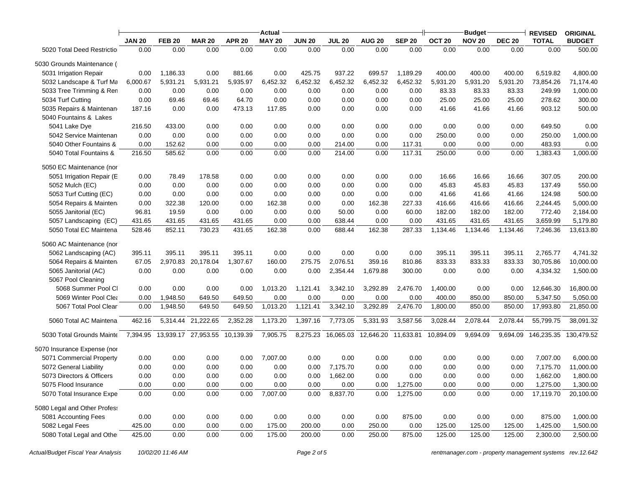|                              |               |               |                                        |               | <b>Actual</b> |               |               |                                        |               |                   | <b>Budget</b> |               | <b>REVISED</b> | <b>ORIGINAL</b> |
|------------------------------|---------------|---------------|----------------------------------------|---------------|---------------|---------------|---------------|----------------------------------------|---------------|-------------------|---------------|---------------|----------------|-----------------|
|                              | <b>JAN 20</b> | <b>FEB 20</b> | <b>MAR 20</b>                          | <b>APR 20</b> | <b>MAY 20</b> | <b>JUN 20</b> | <b>JUL 20</b> | <b>AUG 20</b>                          | <b>SEP 20</b> | OCT <sub>20</sub> | <b>NOV 20</b> | <b>DEC 20</b> | <b>TOTAL</b>   | <b>BUDGET</b>   |
| 5020 Total Deed Restriction  | 0.00          | 0.00          | 0.00                                   | 0.00          | 0.00          | 0.00          | 0.00          | 0.00                                   | 0.00          | 0.00              | 0.00          | 0.00          | 0.00           | 500.00          |
| 5030 Grounds Maintenance (1  |               |               |                                        |               |               |               |               |                                        |               |                   |               |               |                |                 |
| 5031 Irrigation Repair       | 0.00          | 1,186.33      | 0.00                                   | 881.66        | 0.00          | 425.75        | 937.22        | 699.57                                 | 1,189.29      | 400.00            | 400.00        | 400.00        | 6,519.82       | 4,800.00        |
| 5032 Landscape & Turf Ma     | 6,000.67      | 5,931.21      | 5,931.21                               | 5,935.97      | 6,452.32      | 6,452.32      | 6,452.32      | 6,452.32                               | 6,452.32      | 5,931.20          | 5,931.20      | 5,931.20      | 73,854.26      | 71,174.40       |
| 5033 Tree Trimming & Ren     | 0.00          | 0.00          | 0.00                                   | 0.00          | 0.00          | 0.00          | 0.00          | 0.00                                   | 0.00          | 83.33             | 83.33         | 83.33         | 249.99         | 1,000.00        |
| 5034 Turf Cutting            | 0.00          | 69.46         | 69.46                                  | 64.70         | 0.00          | 0.00          | 0.00          | 0.00                                   | 0.00          | 25.00             | 25.00         | 25.00         | 278.62         | 300.00          |
| 5035 Repairs & Maintenan     | 187.16        | 0.00          | 0.00                                   | 473.13        | 117.85        | 0.00          | 0.00          | 0.00                                   | 0.00          | 41.66             | 41.66         | 41.66         | 903.12         | 500.00          |
| 5040 Fountains & Lakes       |               |               |                                        |               |               |               |               |                                        |               |                   |               |               |                |                 |
| 5041 Lake Dye                | 216.50        | 433.00        | 0.00                                   | 0.00          | 0.00          | 0.00          | 0.00          | 0.00                                   | 0.00          | 0.00              | 0.00          | 0.00          | 649.50         | 0.00            |
| 5042 Service Maintenan       | 0.00          | 0.00          | 0.00                                   | 0.00          | 0.00          | 0.00          | 0.00          | 0.00                                   | 0.00          | 250.00            | 0.00          | 0.00          | 250.00         | 1,000.00        |
| 5040 Other Fountains &       | 0.00          | 152.62        | 0.00                                   | 0.00          | 0.00          | 0.00          | 214.00        | 0.00                                   | 117.31        | 0.00              | 0.00          | 0.00          | 483.93         | 0.00            |
| 5040 Total Fountains &       | 216.50        | 585.62        | 0.00                                   | 0.00          | 0.00          | 0.00          | 214.00        | 0.00                                   | 117.31        | 250.00            | 0.00          | 0.00          | 1,383.43       | 1,000.00        |
| 5050 EC Maintenance (nor     |               |               |                                        |               |               |               |               |                                        |               |                   |               |               |                |                 |
| 5051 Irrigation Repair (E    | 0.00          | 78.49         | 178.58                                 | 0.00          | 0.00          | 0.00          | 0.00          | 0.00                                   | 0.00          | 16.66             | 16.66         | 16.66         | 307.05         | 200.00          |
| 5052 Mulch (EC)              | 0.00          | 0.00          | 0.00                                   | 0.00          | 0.00          | 0.00          | 0.00          | 0.00                                   | 0.00          | 45.83             | 45.83         | 45.83         | 137.49         | 550.00          |
| 5053 Turf Cutting (EC)       | 0.00          | 0.00          | 0.00                                   | 0.00          | 0.00          | 0.00          | 0.00          | 0.00                                   | 0.00          | 41.66             | 41.66         | 41.66         | 124.98         | 500.00          |
| 5054 Repairs & Mainten       | 0.00          | 322.38        | 120.00                                 | 0.00          | 162.38        | 0.00          | 0.00          | 162.38                                 | 227.33        | 416.66            | 416.66        | 416.66        | 2,244.45       | 5,000.00        |
| 5055 Janitorial (EC)         | 96.81         | 19.59         | 0.00                                   | 0.00          | 0.00          | 0.00          | 50.00         | 0.00                                   | 60.00         | 182.00            | 182.00        | 182.00        | 772.40         | 2,184.00        |
| 5057 Landscaping (EC)        | 431.65        | 431.65        | 431.65                                 | 431.65        | 0.00          | 0.00          | 638.44        | 0.00                                   | 0.00          | 431.65            | 431.65        | 431.65        | 3,659.99       | 5,179.80        |
| 5050 Total EC Maintena       | 528.46        | 852.11        | 730.23                                 | 431.65        | 162.38        | 0.00          | 688.44        | 162.38                                 | 287.33        | 1,134.46          | 1,134.46      | 1,134.46      | 7,246.36       | 13,613.80       |
| 5060 AC Maintenance (nor     |               |               |                                        |               |               |               |               |                                        |               |                   |               |               |                |                 |
| 5062 Landscaping (AC)        | 395.11        | 395.11        | 395.11                                 | 395.11        | 0.00          | 0.00          | 0.00          | 0.00                                   | 0.00          | 395.11            | 395.11        | 395.11        | 2,765.77       | 4,741.32        |
| 5064 Repairs & Mainten       | 67.05         | 2,970.83      | 20,178.04                              | 1,307.67      | 160.00        | 275.75        | 2,076.51      | 359.16                                 | 810.86        | 833.33            | 833.33        | 833.33        | 30,705.86      | 10,000.00       |
| 5065 Janitorial (AC)         | 0.00          | 0.00          | 0.00                                   | 0.00          | 0.00          | 0.00          | 2,354.44      | 1,679.88                               | 300.00        | 0.00              | 0.00          | 0.00          | 4,334.32       | 1,500.00        |
| 5067 Pool Cleaning           |               |               |                                        |               |               |               |               |                                        |               |                   |               |               |                |                 |
| 5068 Summer Pool Cl          | 0.00          | 0.00          | 0.00                                   | 0.00          | 1,013.20      | 1,121.41      | 3,342.10      | 3,292.89                               | 2,476.70      | 1,400.00          | 0.00          | 0.00          | 12,646.30      | 16,800.00       |
| 5069 Winter Pool Clea        | 0.00          | 1,948.50      | 649.50                                 | 649.50        | 0.00          | 0.00          | 0.00          | 0.00                                   | 0.00          | 400.00            | 850.00        | 850.00        | 5,347.50       | 5,050.00        |
| 5067 Total Pool Clear        | 0.00          | 1,948.50      | 649.50                                 | 649.50        | 1,013.20      | 1,121.41      | 3,342.10      | 3,292.89                               | 2,476.70      | 1,800.00          | 850.00        | 850.00        | 17,993.80      | 21,850.00       |
| 5060 Total AC Maintena       | 462.16        | 5,314.44      | 21,222.65                              | 2,352.28      | 1,173.20      | 1,397.16      | 7,773.05      | 5,331.93                               | 3,587.56      | 3,028.44          | 2,078.44      | 2,078.44      | 55,799.75      | 38,091.32       |
| 5030 Total Grounds Mainte    |               |               | 7,394.95 13,939.17 27,953.55 10,139.39 |               | 7,905.75      |               |               | 8,275.23 16,065.03 12,646.20 11,633.81 |               | 10,894.09         | 9,694.09      | 9,694.09      | 146,235.35     | 130,479.52      |
| 5070 Insurance Expense (nor  |               |               |                                        |               |               |               |               |                                        |               |                   |               |               |                |                 |
| 5071 Commercial Property     | 0.00          | 0.00          | 0.00                                   | 0.00          | 7,007.00      | 0.00          | 0.00          | 0.00                                   | 0.00          | 0.00              | 0.00          | 0.00          | 7,007.00       | 6,000.00        |
| 5072 General Liability       | 0.00          | 0.00          | 0.00                                   | 0.00          | 0.00          | 0.00          | 7,175.70      | 0.00                                   | 0.00          | 0.00              | 0.00          | 0.00          | 7,175.70       | 11,000.00       |
| 5073 Directors & Officers    | 0.00          | 0.00          | 0.00                                   | 0.00          | 0.00          | 0.00          | 1,662.00      | 0.00                                   | 0.00          | 0.00              | 0.00          | 0.00          | 1,662.00       | 1,800.00        |
| 5075 Flood Insurance         | 0.00          | 0.00          | 0.00                                   | 0.00          | 0.00          | 0.00          | 0.00          | 0.00                                   | 1,275.00      | 0.00              | 0.00          | 0.00          | 1,275.00       | 1,300.00        |
| 5070 Total Insurance Expe    | 0.00          | 0.00          | 0.00                                   | 0.00          | 7,007.00      | 0.00          | 8,837.70      | 0.00                                   | 1,275.00      | 0.00              | 0.00          | 0.00          | 17,119.70      | 20,100.00       |
| 5080 Legal and Other Profess |               |               |                                        |               |               |               |               |                                        |               |                   |               |               |                |                 |
| 5081 Accounting Fees         | 0.00          | 0.00          | 0.00                                   | 0.00          | 0.00          | 0.00          | 0.00          | 0.00                                   | 875.00        | 0.00              | 0.00          | 0.00          | 875.00         | 1,000.00        |
| 5082 Legal Fees              | 425.00        | 0.00          | 0.00                                   | 0.00          | 175.00        | 200.00        | 0.00          | 250.00                                 | 0.00          | 125.00            | 125.00        | 125.00        | 1,425.00       | 1,500.00        |
| 5080 Total Legal and Other   | 425.00        | 0.00          | 0.00                                   | 0.00          | 175.00        | 200.00        | 0.00          | 250.00                                 | 875.00        | 125.00            | 125.00        | 125.00        | 2,300.00       | 2,500.00        |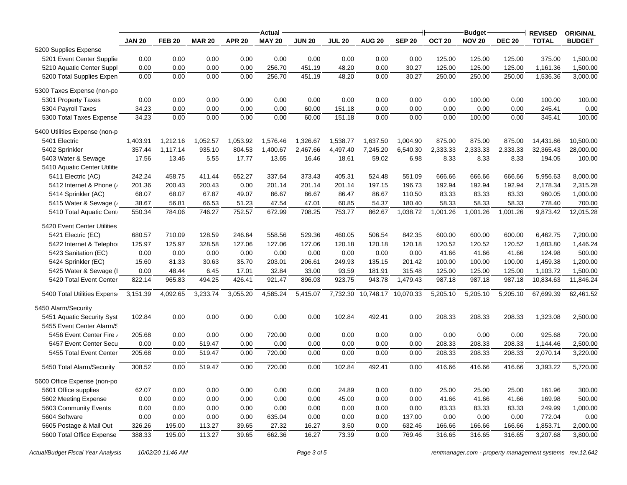| <b>SEP 20</b><br><b>NOV 20</b><br><b>TOTAL</b><br><b>JAN 20</b><br><b>FEB 20</b><br><b>MAR 20</b><br><b>APR 20</b><br><b>MAY 20</b><br><b>JUN 20</b><br><b>JUL 20</b><br><b>AUG 20</b><br>OCT <sub>20</sub><br><b>DEC 20</b><br><b>BUDGET</b><br>5200 Supplies Expense<br>0.00<br>0.00<br>0.00<br>0.00<br>375.00<br>5201 Event Center Supplie<br>0.00<br>0.00<br>0.00<br>0.00<br>0.00<br>125.00<br>125.00<br>125.00<br>1,500.00<br>5210 Aquatic Center Suppl<br>0.00<br>0.00<br>0.00<br>0.00<br>256.70<br>451.19<br>48.20<br>0.00<br>30.27<br>125.00<br>125.00<br>125.00<br>1,161.36<br>1,500.00<br>0.00<br>0.00<br>0.00<br>256.70<br>48.20<br>0.00<br>30.27<br>250.00<br>3,000.00<br>5200 Total Supplies Expen<br>0.00<br>451.19<br>250.00<br>250.00<br>1,536.36<br>5300 Taxes Expense (non-po<br>0.00<br>5301 Property Taxes<br>0.00<br>0.00<br>0.00<br>0.00<br>0.00<br>0.00<br>0.00<br>0.00<br>0.00<br>100.00<br>0.00<br>100.00<br>100.00<br>5304 Payroll Taxes<br>34.23<br>0.00<br>0.00<br>0.00<br>0.00<br>60.00<br>151.18<br>0.00<br>0.00<br>0.00<br>0.00<br>0.00<br>245.41<br>0.00<br>0.00<br>0.00<br>0.00<br>0.00<br>60.00<br>151.18<br>0.00<br>0.00<br>0.00<br>100.00<br>0.00<br>345.41<br>100.00<br>5300 Total Taxes Expense<br>34.23<br>5400 Utilities Expense (non-p<br>5401 Electric<br>1,403.91<br>1,212.16<br>1,052.57<br>1,053.92<br>1,576.46<br>1,326.67<br>1,538.77<br>1,637.50<br>1,004.90<br>875.00<br>875.00<br>875.00<br>14,431.86<br>10,500.00<br>935.10<br>804.53<br>1,400.67<br>2,467.66<br>6,540.30<br>2,333.33<br>2,333.33<br>2,333.33<br>32,365.43<br>5402 Sprinkler<br>357.44<br>1,117.14<br>4,497.40<br>7,245.20<br>28,000.00<br>59.02<br>194.05<br>5403 Water & Sewage<br>17.56<br>13.46<br>5.55<br>17.77<br>13.65<br>16.46<br>18.61<br>6.98<br>8.33<br>8.33<br>8.33<br>100.00<br>5410 Aquatic Center Utilitie<br>5411 Electric (AC)<br>652.27<br>337.64<br>405.31<br>551.09<br>666.66<br>5,956.63<br>8,000.00<br>242.24<br>458.75<br>411.44<br>373.43<br>524.48<br>666.66<br>666.66<br>0.00<br>192.94<br>2,178.34<br>5412 Internet & Phone (<br>201.36<br>200.43<br>200.43<br>201.14<br>201.14<br>201.14<br>197.15<br>196.73<br>192.94<br>192.94<br>2,315.28<br>5414 Sprinkler (AC)<br>68.07<br>67.87<br>49.07<br>86.67<br>86.67<br>86.47<br>86.67<br>110.50<br>83.33<br>83.33<br>83.33<br>960.05<br>1,000.00<br>68.07<br>47.01<br>58.33<br>58.33<br>5415 Water & Sewage (<br>38.67<br>56.81<br>66.53<br>51.23<br>47.54<br>60.85<br>54.37<br>180.40<br>58.33<br>778.40<br>700.00<br>752.57<br>5410 Total Aquatic Cent<br>784.06<br>746.27<br>672.99<br>708.25<br>753.77<br>862.67<br>1,038.72<br>1,001.26<br>1,001.26<br>1,001.26<br>9,873.42<br>12,015.28<br>550.34<br>5420 Event Center Utilities<br>5421 Electric (EC)<br>680.57<br>710.09<br>128.59<br>246.64<br>558.56<br>460.05<br>506.54<br>842.35<br>600.00<br>600.00<br>6,462.75<br>529.36<br>600.00<br>7,200.00<br>120.18<br>120.52<br>120.52<br>1,683.80<br>1,446.24<br>5422 Internet & Telephor<br>125.97<br>125.97<br>328.58<br>127.06<br>127.06<br>127.06<br>120.18<br>120.18<br>120.52<br>5423 Sanitation (EC)<br>0.00<br>0.00<br>0.00<br>0.00<br>0.00<br>0.00<br>0.00<br>0.00<br>0.00<br>41.66<br>41.66<br>41.66<br>124.98<br>500.00<br>81.33<br>203.01<br>249.93<br>5424 Sprinkler (EC)<br>15.60<br>30.63<br>35.70<br>206.61<br>135.15<br>201.42<br>100.00<br>100.00<br>100.00<br>1,459.38<br>1,200.00<br>48.44<br>125.00<br>1,500.00<br>5425 Water & Sewage (I<br>0.00<br>6.45<br>17.01<br>32.84<br>33.00<br>93.59<br>181.91<br>315.48<br>125.00<br>125.00<br>1,103.72<br>5420 Total Event Center<br>822.14<br>965.83<br>494.25<br>426.41<br>921.47<br>896.03<br>923.75<br>943.78<br>1,479.43<br>987.18<br>987.18<br>987.18<br>10,834.63<br>11,846.24<br>3,151.39<br>4,092.65<br>3,233.74<br>3,055.20<br>4,585.24<br>5,415.07<br>7,732.30<br>10,748.17 10,070.33<br>5,205.10<br>5,205.10<br>5,205.10<br>67,699.39<br>62,461.52<br>5400 Total Utilities Expense<br>5450 Alarm/Security<br>0.00<br>0.00<br>0.00<br>102.84<br>0.00<br>5451 Aquatic Security Syst<br>102.84<br>0.00<br>0.00<br>492.41<br>208.33<br>208.33<br>208.33<br>1,323.08<br>2,500.00<br>5455 Event Center Alarm/S<br>0.00<br>0.00<br>0.00<br>0.00<br>0.00<br>0.00<br>0.00<br>925.68<br>5456 Event Center Fire /<br>205.68<br>0.00<br>720.00<br>0.00<br>0.00<br>720.00<br>5457 Event Center Secu<br>0.00<br>519.47<br>0.00<br>0.00<br>208.33<br>208.33<br>208.33<br>1,144.46<br>2,500.00<br>0.00<br>0.00<br>0.00<br>0.00<br>0.00<br>0.00<br>720.00<br>0.00<br>0.00<br>208.33<br>5455 Total Event Center<br>205.68<br>519.47<br>0.00<br>0.00<br>0.00<br>208.33<br>208.33<br>2,070.14<br>3,220.00<br>0.00<br>0.00<br>102.84<br>416.66<br>3,393.22<br>5450 Total Alarm/Security<br>308.52<br>519.47<br>0.00<br>720.00<br>492.41<br>0.00<br>416.66<br>416.66<br>5,720.00 | Actual |  |  |  |  |  |  |  | <b>Budget</b> |  |  | <b>REVISED</b> | <b>ORIGINAL</b> |
|-----------------------------------------------------------------------------------------------------------------------------------------------------------------------------------------------------------------------------------------------------------------------------------------------------------------------------------------------------------------------------------------------------------------------------------------------------------------------------------------------------------------------------------------------------------------------------------------------------------------------------------------------------------------------------------------------------------------------------------------------------------------------------------------------------------------------------------------------------------------------------------------------------------------------------------------------------------------------------------------------------------------------------------------------------------------------------------------------------------------------------------------------------------------------------------------------------------------------------------------------------------------------------------------------------------------------------------------------------------------------------------------------------------------------------------------------------------------------------------------------------------------------------------------------------------------------------------------------------------------------------------------------------------------------------------------------------------------------------------------------------------------------------------------------------------------------------------------------------------------------------------------------------------------------------------------------------------------------------------------------------------------------------------------------------------------------------------------------------------------------------------------------------------------------------------------------------------------------------------------------------------------------------------------------------------------------------------------------------------------------------------------------------------------------------------------------------------------------------------------------------------------------------------------------------------------------------------------------------------------------------------------------------------------------------------------------------------------------------------------------------------------------------------------------------------------------------------------------------------------------------------------------------------------------------------------------------------------------------------------------------------------------------------------------------------------------------------------------------------------------------------------------------------------------------------------------------------------------------------------------------------------------------------------------------------------------------------------------------------------------------------------------------------------------------------------------------------------------------------------------------------------------------------------------------------------------------------------------------------------------------------------------------------------------------------------------------------------------------------------------------------------------------------------------------------------------------------------------------------------------------------------------------------------------------------------------------------------------------------------------------------------------------------------------------------------------------------------------------------------------------------------------------------------------------------------------------------------------------------------------------------------------------------------------------------------------------------------------------------------------------------------------------------------------------------------------------------------------------------------------------------------------------------------------------------------------------------------------------------------------------------------------------------------------------------------------------------------------------------------------------------------------------------------------------------------------------------------|--------|--|--|--|--|--|--|--|---------------|--|--|----------------|-----------------|
|                                                                                                                                                                                                                                                                                                                                                                                                                                                                                                                                                                                                                                                                                                                                                                                                                                                                                                                                                                                                                                                                                                                                                                                                                                                                                                                                                                                                                                                                                                                                                                                                                                                                                                                                                                                                                                                                                                                                                                                                                                                                                                                                                                                                                                                                                                                                                                                                                                                                                                                                                                                                                                                                                                                                                                                                                                                                                                                                                                                                                                                                                                                                                                                                                                                                                                                                                                                                                                                                                                                                                                                                                                                                                                                                                                                                                                                                                                                                                                                                                                                                                                                                                                                                                                                                                                                                                                                                                                                                                                                                                                                                                                                                                                                                                                                                                                         |        |  |  |  |  |  |  |  |               |  |  |                |                 |
|                                                                                                                                                                                                                                                                                                                                                                                                                                                                                                                                                                                                                                                                                                                                                                                                                                                                                                                                                                                                                                                                                                                                                                                                                                                                                                                                                                                                                                                                                                                                                                                                                                                                                                                                                                                                                                                                                                                                                                                                                                                                                                                                                                                                                                                                                                                                                                                                                                                                                                                                                                                                                                                                                                                                                                                                                                                                                                                                                                                                                                                                                                                                                                                                                                                                                                                                                                                                                                                                                                                                                                                                                                                                                                                                                                                                                                                                                                                                                                                                                                                                                                                                                                                                                                                                                                                                                                                                                                                                                                                                                                                                                                                                                                                                                                                                                                         |        |  |  |  |  |  |  |  |               |  |  |                |                 |
|                                                                                                                                                                                                                                                                                                                                                                                                                                                                                                                                                                                                                                                                                                                                                                                                                                                                                                                                                                                                                                                                                                                                                                                                                                                                                                                                                                                                                                                                                                                                                                                                                                                                                                                                                                                                                                                                                                                                                                                                                                                                                                                                                                                                                                                                                                                                                                                                                                                                                                                                                                                                                                                                                                                                                                                                                                                                                                                                                                                                                                                                                                                                                                                                                                                                                                                                                                                                                                                                                                                                                                                                                                                                                                                                                                                                                                                                                                                                                                                                                                                                                                                                                                                                                                                                                                                                                                                                                                                                                                                                                                                                                                                                                                                                                                                                                                         |        |  |  |  |  |  |  |  |               |  |  |                |                 |
|                                                                                                                                                                                                                                                                                                                                                                                                                                                                                                                                                                                                                                                                                                                                                                                                                                                                                                                                                                                                                                                                                                                                                                                                                                                                                                                                                                                                                                                                                                                                                                                                                                                                                                                                                                                                                                                                                                                                                                                                                                                                                                                                                                                                                                                                                                                                                                                                                                                                                                                                                                                                                                                                                                                                                                                                                                                                                                                                                                                                                                                                                                                                                                                                                                                                                                                                                                                                                                                                                                                                                                                                                                                                                                                                                                                                                                                                                                                                                                                                                                                                                                                                                                                                                                                                                                                                                                                                                                                                                                                                                                                                                                                                                                                                                                                                                                         |        |  |  |  |  |  |  |  |               |  |  |                |                 |
|                                                                                                                                                                                                                                                                                                                                                                                                                                                                                                                                                                                                                                                                                                                                                                                                                                                                                                                                                                                                                                                                                                                                                                                                                                                                                                                                                                                                                                                                                                                                                                                                                                                                                                                                                                                                                                                                                                                                                                                                                                                                                                                                                                                                                                                                                                                                                                                                                                                                                                                                                                                                                                                                                                                                                                                                                                                                                                                                                                                                                                                                                                                                                                                                                                                                                                                                                                                                                                                                                                                                                                                                                                                                                                                                                                                                                                                                                                                                                                                                                                                                                                                                                                                                                                                                                                                                                                                                                                                                                                                                                                                                                                                                                                                                                                                                                                         |        |  |  |  |  |  |  |  |               |  |  |                |                 |
|                                                                                                                                                                                                                                                                                                                                                                                                                                                                                                                                                                                                                                                                                                                                                                                                                                                                                                                                                                                                                                                                                                                                                                                                                                                                                                                                                                                                                                                                                                                                                                                                                                                                                                                                                                                                                                                                                                                                                                                                                                                                                                                                                                                                                                                                                                                                                                                                                                                                                                                                                                                                                                                                                                                                                                                                                                                                                                                                                                                                                                                                                                                                                                                                                                                                                                                                                                                                                                                                                                                                                                                                                                                                                                                                                                                                                                                                                                                                                                                                                                                                                                                                                                                                                                                                                                                                                                                                                                                                                                                                                                                                                                                                                                                                                                                                                                         |        |  |  |  |  |  |  |  |               |  |  |                |                 |
|                                                                                                                                                                                                                                                                                                                                                                                                                                                                                                                                                                                                                                                                                                                                                                                                                                                                                                                                                                                                                                                                                                                                                                                                                                                                                                                                                                                                                                                                                                                                                                                                                                                                                                                                                                                                                                                                                                                                                                                                                                                                                                                                                                                                                                                                                                                                                                                                                                                                                                                                                                                                                                                                                                                                                                                                                                                                                                                                                                                                                                                                                                                                                                                                                                                                                                                                                                                                                                                                                                                                                                                                                                                                                                                                                                                                                                                                                                                                                                                                                                                                                                                                                                                                                                                                                                                                                                                                                                                                                                                                                                                                                                                                                                                                                                                                                                         |        |  |  |  |  |  |  |  |               |  |  |                |                 |
|                                                                                                                                                                                                                                                                                                                                                                                                                                                                                                                                                                                                                                                                                                                                                                                                                                                                                                                                                                                                                                                                                                                                                                                                                                                                                                                                                                                                                                                                                                                                                                                                                                                                                                                                                                                                                                                                                                                                                                                                                                                                                                                                                                                                                                                                                                                                                                                                                                                                                                                                                                                                                                                                                                                                                                                                                                                                                                                                                                                                                                                                                                                                                                                                                                                                                                                                                                                                                                                                                                                                                                                                                                                                                                                                                                                                                                                                                                                                                                                                                                                                                                                                                                                                                                                                                                                                                                                                                                                                                                                                                                                                                                                                                                                                                                                                                                         |        |  |  |  |  |  |  |  |               |  |  |                |                 |
|                                                                                                                                                                                                                                                                                                                                                                                                                                                                                                                                                                                                                                                                                                                                                                                                                                                                                                                                                                                                                                                                                                                                                                                                                                                                                                                                                                                                                                                                                                                                                                                                                                                                                                                                                                                                                                                                                                                                                                                                                                                                                                                                                                                                                                                                                                                                                                                                                                                                                                                                                                                                                                                                                                                                                                                                                                                                                                                                                                                                                                                                                                                                                                                                                                                                                                                                                                                                                                                                                                                                                                                                                                                                                                                                                                                                                                                                                                                                                                                                                                                                                                                                                                                                                                                                                                                                                                                                                                                                                                                                                                                                                                                                                                                                                                                                                                         |        |  |  |  |  |  |  |  |               |  |  |                |                 |
|                                                                                                                                                                                                                                                                                                                                                                                                                                                                                                                                                                                                                                                                                                                                                                                                                                                                                                                                                                                                                                                                                                                                                                                                                                                                                                                                                                                                                                                                                                                                                                                                                                                                                                                                                                                                                                                                                                                                                                                                                                                                                                                                                                                                                                                                                                                                                                                                                                                                                                                                                                                                                                                                                                                                                                                                                                                                                                                                                                                                                                                                                                                                                                                                                                                                                                                                                                                                                                                                                                                                                                                                                                                                                                                                                                                                                                                                                                                                                                                                                                                                                                                                                                                                                                                                                                                                                                                                                                                                                                                                                                                                                                                                                                                                                                                                                                         |        |  |  |  |  |  |  |  |               |  |  |                |                 |
|                                                                                                                                                                                                                                                                                                                                                                                                                                                                                                                                                                                                                                                                                                                                                                                                                                                                                                                                                                                                                                                                                                                                                                                                                                                                                                                                                                                                                                                                                                                                                                                                                                                                                                                                                                                                                                                                                                                                                                                                                                                                                                                                                                                                                                                                                                                                                                                                                                                                                                                                                                                                                                                                                                                                                                                                                                                                                                                                                                                                                                                                                                                                                                                                                                                                                                                                                                                                                                                                                                                                                                                                                                                                                                                                                                                                                                                                                                                                                                                                                                                                                                                                                                                                                                                                                                                                                                                                                                                                                                                                                                                                                                                                                                                                                                                                                                         |        |  |  |  |  |  |  |  |               |  |  |                |                 |
|                                                                                                                                                                                                                                                                                                                                                                                                                                                                                                                                                                                                                                                                                                                                                                                                                                                                                                                                                                                                                                                                                                                                                                                                                                                                                                                                                                                                                                                                                                                                                                                                                                                                                                                                                                                                                                                                                                                                                                                                                                                                                                                                                                                                                                                                                                                                                                                                                                                                                                                                                                                                                                                                                                                                                                                                                                                                                                                                                                                                                                                                                                                                                                                                                                                                                                                                                                                                                                                                                                                                                                                                                                                                                                                                                                                                                                                                                                                                                                                                                                                                                                                                                                                                                                                                                                                                                                                                                                                                                                                                                                                                                                                                                                                                                                                                                                         |        |  |  |  |  |  |  |  |               |  |  |                |                 |
|                                                                                                                                                                                                                                                                                                                                                                                                                                                                                                                                                                                                                                                                                                                                                                                                                                                                                                                                                                                                                                                                                                                                                                                                                                                                                                                                                                                                                                                                                                                                                                                                                                                                                                                                                                                                                                                                                                                                                                                                                                                                                                                                                                                                                                                                                                                                                                                                                                                                                                                                                                                                                                                                                                                                                                                                                                                                                                                                                                                                                                                                                                                                                                                                                                                                                                                                                                                                                                                                                                                                                                                                                                                                                                                                                                                                                                                                                                                                                                                                                                                                                                                                                                                                                                                                                                                                                                                                                                                                                                                                                                                                                                                                                                                                                                                                                                         |        |  |  |  |  |  |  |  |               |  |  |                |                 |
|                                                                                                                                                                                                                                                                                                                                                                                                                                                                                                                                                                                                                                                                                                                                                                                                                                                                                                                                                                                                                                                                                                                                                                                                                                                                                                                                                                                                                                                                                                                                                                                                                                                                                                                                                                                                                                                                                                                                                                                                                                                                                                                                                                                                                                                                                                                                                                                                                                                                                                                                                                                                                                                                                                                                                                                                                                                                                                                                                                                                                                                                                                                                                                                                                                                                                                                                                                                                                                                                                                                                                                                                                                                                                                                                                                                                                                                                                                                                                                                                                                                                                                                                                                                                                                                                                                                                                                                                                                                                                                                                                                                                                                                                                                                                                                                                                                         |        |  |  |  |  |  |  |  |               |  |  |                |                 |
|                                                                                                                                                                                                                                                                                                                                                                                                                                                                                                                                                                                                                                                                                                                                                                                                                                                                                                                                                                                                                                                                                                                                                                                                                                                                                                                                                                                                                                                                                                                                                                                                                                                                                                                                                                                                                                                                                                                                                                                                                                                                                                                                                                                                                                                                                                                                                                                                                                                                                                                                                                                                                                                                                                                                                                                                                                                                                                                                                                                                                                                                                                                                                                                                                                                                                                                                                                                                                                                                                                                                                                                                                                                                                                                                                                                                                                                                                                                                                                                                                                                                                                                                                                                                                                                                                                                                                                                                                                                                                                                                                                                                                                                                                                                                                                                                                                         |        |  |  |  |  |  |  |  |               |  |  |                |                 |
|                                                                                                                                                                                                                                                                                                                                                                                                                                                                                                                                                                                                                                                                                                                                                                                                                                                                                                                                                                                                                                                                                                                                                                                                                                                                                                                                                                                                                                                                                                                                                                                                                                                                                                                                                                                                                                                                                                                                                                                                                                                                                                                                                                                                                                                                                                                                                                                                                                                                                                                                                                                                                                                                                                                                                                                                                                                                                                                                                                                                                                                                                                                                                                                                                                                                                                                                                                                                                                                                                                                                                                                                                                                                                                                                                                                                                                                                                                                                                                                                                                                                                                                                                                                                                                                                                                                                                                                                                                                                                                                                                                                                                                                                                                                                                                                                                                         |        |  |  |  |  |  |  |  |               |  |  |                |                 |
|                                                                                                                                                                                                                                                                                                                                                                                                                                                                                                                                                                                                                                                                                                                                                                                                                                                                                                                                                                                                                                                                                                                                                                                                                                                                                                                                                                                                                                                                                                                                                                                                                                                                                                                                                                                                                                                                                                                                                                                                                                                                                                                                                                                                                                                                                                                                                                                                                                                                                                                                                                                                                                                                                                                                                                                                                                                                                                                                                                                                                                                                                                                                                                                                                                                                                                                                                                                                                                                                                                                                                                                                                                                                                                                                                                                                                                                                                                                                                                                                                                                                                                                                                                                                                                                                                                                                                                                                                                                                                                                                                                                                                                                                                                                                                                                                                                         |        |  |  |  |  |  |  |  |               |  |  |                |                 |
|                                                                                                                                                                                                                                                                                                                                                                                                                                                                                                                                                                                                                                                                                                                                                                                                                                                                                                                                                                                                                                                                                                                                                                                                                                                                                                                                                                                                                                                                                                                                                                                                                                                                                                                                                                                                                                                                                                                                                                                                                                                                                                                                                                                                                                                                                                                                                                                                                                                                                                                                                                                                                                                                                                                                                                                                                                                                                                                                                                                                                                                                                                                                                                                                                                                                                                                                                                                                                                                                                                                                                                                                                                                                                                                                                                                                                                                                                                                                                                                                                                                                                                                                                                                                                                                                                                                                                                                                                                                                                                                                                                                                                                                                                                                                                                                                                                         |        |  |  |  |  |  |  |  |               |  |  |                |                 |
|                                                                                                                                                                                                                                                                                                                                                                                                                                                                                                                                                                                                                                                                                                                                                                                                                                                                                                                                                                                                                                                                                                                                                                                                                                                                                                                                                                                                                                                                                                                                                                                                                                                                                                                                                                                                                                                                                                                                                                                                                                                                                                                                                                                                                                                                                                                                                                                                                                                                                                                                                                                                                                                                                                                                                                                                                                                                                                                                                                                                                                                                                                                                                                                                                                                                                                                                                                                                                                                                                                                                                                                                                                                                                                                                                                                                                                                                                                                                                                                                                                                                                                                                                                                                                                                                                                                                                                                                                                                                                                                                                                                                                                                                                                                                                                                                                                         |        |  |  |  |  |  |  |  |               |  |  |                |                 |
|                                                                                                                                                                                                                                                                                                                                                                                                                                                                                                                                                                                                                                                                                                                                                                                                                                                                                                                                                                                                                                                                                                                                                                                                                                                                                                                                                                                                                                                                                                                                                                                                                                                                                                                                                                                                                                                                                                                                                                                                                                                                                                                                                                                                                                                                                                                                                                                                                                                                                                                                                                                                                                                                                                                                                                                                                                                                                                                                                                                                                                                                                                                                                                                                                                                                                                                                                                                                                                                                                                                                                                                                                                                                                                                                                                                                                                                                                                                                                                                                                                                                                                                                                                                                                                                                                                                                                                                                                                                                                                                                                                                                                                                                                                                                                                                                                                         |        |  |  |  |  |  |  |  |               |  |  |                |                 |
|                                                                                                                                                                                                                                                                                                                                                                                                                                                                                                                                                                                                                                                                                                                                                                                                                                                                                                                                                                                                                                                                                                                                                                                                                                                                                                                                                                                                                                                                                                                                                                                                                                                                                                                                                                                                                                                                                                                                                                                                                                                                                                                                                                                                                                                                                                                                                                                                                                                                                                                                                                                                                                                                                                                                                                                                                                                                                                                                                                                                                                                                                                                                                                                                                                                                                                                                                                                                                                                                                                                                                                                                                                                                                                                                                                                                                                                                                                                                                                                                                                                                                                                                                                                                                                                                                                                                                                                                                                                                                                                                                                                                                                                                                                                                                                                                                                         |        |  |  |  |  |  |  |  |               |  |  |                |                 |
|                                                                                                                                                                                                                                                                                                                                                                                                                                                                                                                                                                                                                                                                                                                                                                                                                                                                                                                                                                                                                                                                                                                                                                                                                                                                                                                                                                                                                                                                                                                                                                                                                                                                                                                                                                                                                                                                                                                                                                                                                                                                                                                                                                                                                                                                                                                                                                                                                                                                                                                                                                                                                                                                                                                                                                                                                                                                                                                                                                                                                                                                                                                                                                                                                                                                                                                                                                                                                                                                                                                                                                                                                                                                                                                                                                                                                                                                                                                                                                                                                                                                                                                                                                                                                                                                                                                                                                                                                                                                                                                                                                                                                                                                                                                                                                                                                                         |        |  |  |  |  |  |  |  |               |  |  |                |                 |
|                                                                                                                                                                                                                                                                                                                                                                                                                                                                                                                                                                                                                                                                                                                                                                                                                                                                                                                                                                                                                                                                                                                                                                                                                                                                                                                                                                                                                                                                                                                                                                                                                                                                                                                                                                                                                                                                                                                                                                                                                                                                                                                                                                                                                                                                                                                                                                                                                                                                                                                                                                                                                                                                                                                                                                                                                                                                                                                                                                                                                                                                                                                                                                                                                                                                                                                                                                                                                                                                                                                                                                                                                                                                                                                                                                                                                                                                                                                                                                                                                                                                                                                                                                                                                                                                                                                                                                                                                                                                                                                                                                                                                                                                                                                                                                                                                                         |        |  |  |  |  |  |  |  |               |  |  |                |                 |
|                                                                                                                                                                                                                                                                                                                                                                                                                                                                                                                                                                                                                                                                                                                                                                                                                                                                                                                                                                                                                                                                                                                                                                                                                                                                                                                                                                                                                                                                                                                                                                                                                                                                                                                                                                                                                                                                                                                                                                                                                                                                                                                                                                                                                                                                                                                                                                                                                                                                                                                                                                                                                                                                                                                                                                                                                                                                                                                                                                                                                                                                                                                                                                                                                                                                                                                                                                                                                                                                                                                                                                                                                                                                                                                                                                                                                                                                                                                                                                                                                                                                                                                                                                                                                                                                                                                                                                                                                                                                                                                                                                                                                                                                                                                                                                                                                                         |        |  |  |  |  |  |  |  |               |  |  |                |                 |
|                                                                                                                                                                                                                                                                                                                                                                                                                                                                                                                                                                                                                                                                                                                                                                                                                                                                                                                                                                                                                                                                                                                                                                                                                                                                                                                                                                                                                                                                                                                                                                                                                                                                                                                                                                                                                                                                                                                                                                                                                                                                                                                                                                                                                                                                                                                                                                                                                                                                                                                                                                                                                                                                                                                                                                                                                                                                                                                                                                                                                                                                                                                                                                                                                                                                                                                                                                                                                                                                                                                                                                                                                                                                                                                                                                                                                                                                                                                                                                                                                                                                                                                                                                                                                                                                                                                                                                                                                                                                                                                                                                                                                                                                                                                                                                                                                                         |        |  |  |  |  |  |  |  |               |  |  |                |                 |
|                                                                                                                                                                                                                                                                                                                                                                                                                                                                                                                                                                                                                                                                                                                                                                                                                                                                                                                                                                                                                                                                                                                                                                                                                                                                                                                                                                                                                                                                                                                                                                                                                                                                                                                                                                                                                                                                                                                                                                                                                                                                                                                                                                                                                                                                                                                                                                                                                                                                                                                                                                                                                                                                                                                                                                                                                                                                                                                                                                                                                                                                                                                                                                                                                                                                                                                                                                                                                                                                                                                                                                                                                                                                                                                                                                                                                                                                                                                                                                                                                                                                                                                                                                                                                                                                                                                                                                                                                                                                                                                                                                                                                                                                                                                                                                                                                                         |        |  |  |  |  |  |  |  |               |  |  |                |                 |
|                                                                                                                                                                                                                                                                                                                                                                                                                                                                                                                                                                                                                                                                                                                                                                                                                                                                                                                                                                                                                                                                                                                                                                                                                                                                                                                                                                                                                                                                                                                                                                                                                                                                                                                                                                                                                                                                                                                                                                                                                                                                                                                                                                                                                                                                                                                                                                                                                                                                                                                                                                                                                                                                                                                                                                                                                                                                                                                                                                                                                                                                                                                                                                                                                                                                                                                                                                                                                                                                                                                                                                                                                                                                                                                                                                                                                                                                                                                                                                                                                                                                                                                                                                                                                                                                                                                                                                                                                                                                                                                                                                                                                                                                                                                                                                                                                                         |        |  |  |  |  |  |  |  |               |  |  |                |                 |
|                                                                                                                                                                                                                                                                                                                                                                                                                                                                                                                                                                                                                                                                                                                                                                                                                                                                                                                                                                                                                                                                                                                                                                                                                                                                                                                                                                                                                                                                                                                                                                                                                                                                                                                                                                                                                                                                                                                                                                                                                                                                                                                                                                                                                                                                                                                                                                                                                                                                                                                                                                                                                                                                                                                                                                                                                                                                                                                                                                                                                                                                                                                                                                                                                                                                                                                                                                                                                                                                                                                                                                                                                                                                                                                                                                                                                                                                                                                                                                                                                                                                                                                                                                                                                                                                                                                                                                                                                                                                                                                                                                                                                                                                                                                                                                                                                                         |        |  |  |  |  |  |  |  |               |  |  |                |                 |
|                                                                                                                                                                                                                                                                                                                                                                                                                                                                                                                                                                                                                                                                                                                                                                                                                                                                                                                                                                                                                                                                                                                                                                                                                                                                                                                                                                                                                                                                                                                                                                                                                                                                                                                                                                                                                                                                                                                                                                                                                                                                                                                                                                                                                                                                                                                                                                                                                                                                                                                                                                                                                                                                                                                                                                                                                                                                                                                                                                                                                                                                                                                                                                                                                                                                                                                                                                                                                                                                                                                                                                                                                                                                                                                                                                                                                                                                                                                                                                                                                                                                                                                                                                                                                                                                                                                                                                                                                                                                                                                                                                                                                                                                                                                                                                                                                                         |        |  |  |  |  |  |  |  |               |  |  |                |                 |
|                                                                                                                                                                                                                                                                                                                                                                                                                                                                                                                                                                                                                                                                                                                                                                                                                                                                                                                                                                                                                                                                                                                                                                                                                                                                                                                                                                                                                                                                                                                                                                                                                                                                                                                                                                                                                                                                                                                                                                                                                                                                                                                                                                                                                                                                                                                                                                                                                                                                                                                                                                                                                                                                                                                                                                                                                                                                                                                                                                                                                                                                                                                                                                                                                                                                                                                                                                                                                                                                                                                                                                                                                                                                                                                                                                                                                                                                                                                                                                                                                                                                                                                                                                                                                                                                                                                                                                                                                                                                                                                                                                                                                                                                                                                                                                                                                                         |        |  |  |  |  |  |  |  |               |  |  |                |                 |
|                                                                                                                                                                                                                                                                                                                                                                                                                                                                                                                                                                                                                                                                                                                                                                                                                                                                                                                                                                                                                                                                                                                                                                                                                                                                                                                                                                                                                                                                                                                                                                                                                                                                                                                                                                                                                                                                                                                                                                                                                                                                                                                                                                                                                                                                                                                                                                                                                                                                                                                                                                                                                                                                                                                                                                                                                                                                                                                                                                                                                                                                                                                                                                                                                                                                                                                                                                                                                                                                                                                                                                                                                                                                                                                                                                                                                                                                                                                                                                                                                                                                                                                                                                                                                                                                                                                                                                                                                                                                                                                                                                                                                                                                                                                                                                                                                                         |        |  |  |  |  |  |  |  |               |  |  |                |                 |
|                                                                                                                                                                                                                                                                                                                                                                                                                                                                                                                                                                                                                                                                                                                                                                                                                                                                                                                                                                                                                                                                                                                                                                                                                                                                                                                                                                                                                                                                                                                                                                                                                                                                                                                                                                                                                                                                                                                                                                                                                                                                                                                                                                                                                                                                                                                                                                                                                                                                                                                                                                                                                                                                                                                                                                                                                                                                                                                                                                                                                                                                                                                                                                                                                                                                                                                                                                                                                                                                                                                                                                                                                                                                                                                                                                                                                                                                                                                                                                                                                                                                                                                                                                                                                                                                                                                                                                                                                                                                                                                                                                                                                                                                                                                                                                                                                                         |        |  |  |  |  |  |  |  |               |  |  |                |                 |
|                                                                                                                                                                                                                                                                                                                                                                                                                                                                                                                                                                                                                                                                                                                                                                                                                                                                                                                                                                                                                                                                                                                                                                                                                                                                                                                                                                                                                                                                                                                                                                                                                                                                                                                                                                                                                                                                                                                                                                                                                                                                                                                                                                                                                                                                                                                                                                                                                                                                                                                                                                                                                                                                                                                                                                                                                                                                                                                                                                                                                                                                                                                                                                                                                                                                                                                                                                                                                                                                                                                                                                                                                                                                                                                                                                                                                                                                                                                                                                                                                                                                                                                                                                                                                                                                                                                                                                                                                                                                                                                                                                                                                                                                                                                                                                                                                                         |        |  |  |  |  |  |  |  |               |  |  |                |                 |
|                                                                                                                                                                                                                                                                                                                                                                                                                                                                                                                                                                                                                                                                                                                                                                                                                                                                                                                                                                                                                                                                                                                                                                                                                                                                                                                                                                                                                                                                                                                                                                                                                                                                                                                                                                                                                                                                                                                                                                                                                                                                                                                                                                                                                                                                                                                                                                                                                                                                                                                                                                                                                                                                                                                                                                                                                                                                                                                                                                                                                                                                                                                                                                                                                                                                                                                                                                                                                                                                                                                                                                                                                                                                                                                                                                                                                                                                                                                                                                                                                                                                                                                                                                                                                                                                                                                                                                                                                                                                                                                                                                                                                                                                                                                                                                                                                                         |        |  |  |  |  |  |  |  |               |  |  |                |                 |
|                                                                                                                                                                                                                                                                                                                                                                                                                                                                                                                                                                                                                                                                                                                                                                                                                                                                                                                                                                                                                                                                                                                                                                                                                                                                                                                                                                                                                                                                                                                                                                                                                                                                                                                                                                                                                                                                                                                                                                                                                                                                                                                                                                                                                                                                                                                                                                                                                                                                                                                                                                                                                                                                                                                                                                                                                                                                                                                                                                                                                                                                                                                                                                                                                                                                                                                                                                                                                                                                                                                                                                                                                                                                                                                                                                                                                                                                                                                                                                                                                                                                                                                                                                                                                                                                                                                                                                                                                                                                                                                                                                                                                                                                                                                                                                                                                                         |        |  |  |  |  |  |  |  |               |  |  |                |                 |
| 5600 Office Expense (non-po                                                                                                                                                                                                                                                                                                                                                                                                                                                                                                                                                                                                                                                                                                                                                                                                                                                                                                                                                                                                                                                                                                                                                                                                                                                                                                                                                                                                                                                                                                                                                                                                                                                                                                                                                                                                                                                                                                                                                                                                                                                                                                                                                                                                                                                                                                                                                                                                                                                                                                                                                                                                                                                                                                                                                                                                                                                                                                                                                                                                                                                                                                                                                                                                                                                                                                                                                                                                                                                                                                                                                                                                                                                                                                                                                                                                                                                                                                                                                                                                                                                                                                                                                                                                                                                                                                                                                                                                                                                                                                                                                                                                                                                                                                                                                                                                             |        |  |  |  |  |  |  |  |               |  |  |                |                 |
| 5601 Office supplies<br>62.07<br>0.00<br>0.00<br>0.00<br>0.00<br>0.00<br>0.00<br>24.89<br>0.00<br>25.00<br>25.00<br>25.00<br>161.96<br>300.00                                                                                                                                                                                                                                                                                                                                                                                                                                                                                                                                                                                                                                                                                                                                                                                                                                                                                                                                                                                                                                                                                                                                                                                                                                                                                                                                                                                                                                                                                                                                                                                                                                                                                                                                                                                                                                                                                                                                                                                                                                                                                                                                                                                                                                                                                                                                                                                                                                                                                                                                                                                                                                                                                                                                                                                                                                                                                                                                                                                                                                                                                                                                                                                                                                                                                                                                                                                                                                                                                                                                                                                                                                                                                                                                                                                                                                                                                                                                                                                                                                                                                                                                                                                                                                                                                                                                                                                                                                                                                                                                                                                                                                                                                           |        |  |  |  |  |  |  |  |               |  |  |                |                 |
| 0.00<br>0.00<br>0.00<br>0.00<br>0.00<br>45.00<br>0.00<br>41.66<br>41.66<br>41.66<br>169.98<br>500.00<br>5602 Meeting Expense<br>0.00<br>0.00                                                                                                                                                                                                                                                                                                                                                                                                                                                                                                                                                                                                                                                                                                                                                                                                                                                                                                                                                                                                                                                                                                                                                                                                                                                                                                                                                                                                                                                                                                                                                                                                                                                                                                                                                                                                                                                                                                                                                                                                                                                                                                                                                                                                                                                                                                                                                                                                                                                                                                                                                                                                                                                                                                                                                                                                                                                                                                                                                                                                                                                                                                                                                                                                                                                                                                                                                                                                                                                                                                                                                                                                                                                                                                                                                                                                                                                                                                                                                                                                                                                                                                                                                                                                                                                                                                                                                                                                                                                                                                                                                                                                                                                                                            |        |  |  |  |  |  |  |  |               |  |  |                |                 |
| 0.00<br>0.00<br>0.00<br>0.00<br>0.00<br>0.00<br>0.00<br>0.00<br>0.00<br>83.33<br>83.33<br>83.33<br>249.99<br>1,000.00<br>5603 Community Events                                                                                                                                                                                                                                                                                                                                                                                                                                                                                                                                                                                                                                                                                                                                                                                                                                                                                                                                                                                                                                                                                                                                                                                                                                                                                                                                                                                                                                                                                                                                                                                                                                                                                                                                                                                                                                                                                                                                                                                                                                                                                                                                                                                                                                                                                                                                                                                                                                                                                                                                                                                                                                                                                                                                                                                                                                                                                                                                                                                                                                                                                                                                                                                                                                                                                                                                                                                                                                                                                                                                                                                                                                                                                                                                                                                                                                                                                                                                                                                                                                                                                                                                                                                                                                                                                                                                                                                                                                                                                                                                                                                                                                                                                          |        |  |  |  |  |  |  |  |               |  |  |                |                 |
| 5604 Software<br>0.00<br>0.00<br>0.00<br>0.00<br>635.04<br>0.00<br>0.00<br>0.00<br>137.00<br>0.00<br>0.00<br>0.00<br>772.04<br>0.00                                                                                                                                                                                                                                                                                                                                                                                                                                                                                                                                                                                                                                                                                                                                                                                                                                                                                                                                                                                                                                                                                                                                                                                                                                                                                                                                                                                                                                                                                                                                                                                                                                                                                                                                                                                                                                                                                                                                                                                                                                                                                                                                                                                                                                                                                                                                                                                                                                                                                                                                                                                                                                                                                                                                                                                                                                                                                                                                                                                                                                                                                                                                                                                                                                                                                                                                                                                                                                                                                                                                                                                                                                                                                                                                                                                                                                                                                                                                                                                                                                                                                                                                                                                                                                                                                                                                                                                                                                                                                                                                                                                                                                                                                                     |        |  |  |  |  |  |  |  |               |  |  |                |                 |
| 326.26<br>2,000.00<br>5605 Postage & Mail Out<br>195.00<br>113.27<br>39.65<br>27.32<br>16.27<br>3.50<br>0.00<br>632.46<br>166.66<br>166.66<br>166.66<br>1,853.71                                                                                                                                                                                                                                                                                                                                                                                                                                                                                                                                                                                                                                                                                                                                                                                                                                                                                                                                                                                                                                                                                                                                                                                                                                                                                                                                                                                                                                                                                                                                                                                                                                                                                                                                                                                                                                                                                                                                                                                                                                                                                                                                                                                                                                                                                                                                                                                                                                                                                                                                                                                                                                                                                                                                                                                                                                                                                                                                                                                                                                                                                                                                                                                                                                                                                                                                                                                                                                                                                                                                                                                                                                                                                                                                                                                                                                                                                                                                                                                                                                                                                                                                                                                                                                                                                                                                                                                                                                                                                                                                                                                                                                                                        |        |  |  |  |  |  |  |  |               |  |  |                |                 |
| 195.00<br>113.27<br>39.65<br>16.27<br>73.39<br>0.00<br>769.46<br>316.65<br>3,800.00<br>5600 Total Office Expense<br>388.33<br>662.36<br>316.65<br>316.65<br>3,207.68                                                                                                                                                                                                                                                                                                                                                                                                                                                                                                                                                                                                                                                                                                                                                                                                                                                                                                                                                                                                                                                                                                                                                                                                                                                                                                                                                                                                                                                                                                                                                                                                                                                                                                                                                                                                                                                                                                                                                                                                                                                                                                                                                                                                                                                                                                                                                                                                                                                                                                                                                                                                                                                                                                                                                                                                                                                                                                                                                                                                                                                                                                                                                                                                                                                                                                                                                                                                                                                                                                                                                                                                                                                                                                                                                                                                                                                                                                                                                                                                                                                                                                                                                                                                                                                                                                                                                                                                                                                                                                                                                                                                                                                                    |        |  |  |  |  |  |  |  |               |  |  |                |                 |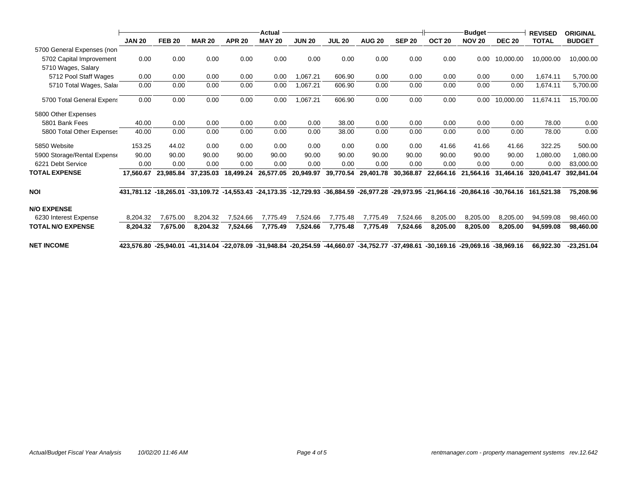|                             | Actual                                                                                                                              |               |               |               |               |               |               |                                                                                                               |               |                   | <b>ORIGINAL</b>                |               |                                |               |
|-----------------------------|-------------------------------------------------------------------------------------------------------------------------------------|---------------|---------------|---------------|---------------|---------------|---------------|---------------------------------------------------------------------------------------------------------------|---------------|-------------------|--------------------------------|---------------|--------------------------------|---------------|
|                             | <b>JAN 20</b>                                                                                                                       | <b>FEB 20</b> | <b>MAR 20</b> | <b>APR 20</b> | <b>MAY 20</b> | <b>JUN 20</b> | <b>JUL 20</b> | <b>AUG 20</b>                                                                                                 | <b>SEP 20</b> | OCT <sub>20</sub> | <b>Budget</b><br><b>NOV 20</b> | <b>DEC 20</b> | <b>REVISED</b><br><b>TOTAL</b> | <b>BUDGET</b> |
| 5700 General Expenses (non  |                                                                                                                                     |               |               |               |               |               |               |                                                                                                               |               |                   |                                |               |                                |               |
| 5702 Capital Improvement    | 0.00                                                                                                                                | 0.00          | 0.00          | 0.00          | 0.00          | 0.00          | 0.00          | 0.00                                                                                                          | 0.00          | 0.00              | 0.00                           | 10,000.00     | 10,000.00                      | 10,000.00     |
| 5710 Wages, Salary          |                                                                                                                                     |               |               |               |               |               |               |                                                                                                               |               |                   |                                |               |                                |               |
| 5712 Pool Staff Wages       | 0.00                                                                                                                                | 0.00          | 0.00          | 0.00          | 0.00          | 1.067.21      | 606.90        | 0.00                                                                                                          | 0.00          | 0.00              | 0.00                           | 0.00          | 1,674.11                       | 5,700.00      |
| 5710 Total Wages, Salar     | 0.00                                                                                                                                | 0.00          | 0.00          | 0.00          | 0.00          | 1,067.21      | 606.90        | 0.00                                                                                                          | 0.00          | 0.00              | 0.00                           | 0.00          | 1,674.11                       | 5,700.00      |
| 5700 Total General Expens   | 0.00                                                                                                                                | 0.00          | 0.00          | 0.00          | 0.00          | 1,067.21      | 606.90        | 0.00                                                                                                          | 0.00          | 0.00              | 0.00                           | 10,000.00     | 11,674.11                      | 15,700.00     |
| 5800 Other Expenses         |                                                                                                                                     |               |               |               |               |               |               |                                                                                                               |               |                   |                                |               |                                |               |
| 5801 Bank Fees              | 40.00                                                                                                                               | 0.00          | 0.00          | 0.00          | 0.00          | 0.00          | 38.00         | 0.00                                                                                                          | 0.00          | 0.00              | 0.00                           | 0.00          | 78.00                          | 0.00          |
| 5800 Total Other Expenses   | 40.00                                                                                                                               | 0.00          | 0.00          | 0.00          | 0.00          | 0.00          | 38.00         | 0.00                                                                                                          | 0.00          | 0.00              | 0.00                           | 0.00          | 78.00                          | 0.00          |
| 5850 Website                | 153.25                                                                                                                              | 44.02         | 0.00          | 0.00          | 0.00          | 0.00          | 0.00          | 0.00                                                                                                          | 0.00          | 41.66             | 41.66                          | 41.66         | 322.25                         | 500.00        |
| 5900 Storage/Rental Expense | 90.00                                                                                                                               | 90.00         | 90.00         | 90.00         | 90.00         | 90.00         | 90.00         | 90.00                                                                                                         | 90.00         | 90.00             | 90.00                          | 90.00         | 1.080.00                       | 1,080.00      |
| 6221 Debt Service           | 0.00                                                                                                                                | 0.00          | 0.00          | 0.00          | 0.00          | 0.00          | 0.00          | 0.00                                                                                                          | 0.00          | 0.00              | 0.00                           | 0.00          | 0.00                           | 83,000.00     |
| <b>TOTAL EXPENSE</b>        | 17,560.67                                                                                                                           | 23.985.84     | 37,235.03     | 18,499.24     | 26,577.05     | 20,949.97     | 39,770.54     | 29,401.78                                                                                                     | 30,368.87     | 22,664.16         | 21,564.16                      | 31,464.16     | 320.041.47                     | 392,841.04    |
| NOI                         | 431,781.12 -18,265.01 -33,109.72 -14,553.43 -24,173.35 -12,729.93 -36,884.59 -26,977.28 -29,973.95 -21,964.16 -20,864.16 -30,764.16 |               |               |               |               |               |               |                                                                                                               |               |                   |                                |               | 161.521.38                     | 75.208.96     |
| <b>N/O EXPENSE</b>          |                                                                                                                                     |               |               |               |               |               |               |                                                                                                               |               |                   |                                |               |                                |               |
| 6230 Interest Expense       | 8,204.32                                                                                                                            | 7,675.00      | 8,204.32      | 7,524.66      | 7.775.49      | 7,524.66      | 7,775.48      | 7,775.49                                                                                                      | 7,524.66      | 8,205.00          | 8,205.00                       | 8,205.00      | 94,599.08                      | 98,460.00     |
| TOTAL N/O EXPENSE           | 8,204.32                                                                                                                            | 7,675.00      | 8,204.32      | 7,524.66      | 7,775.49      | 7,524.66      | 7,775.48      | 7,775.49                                                                                                      | 7,524.66      | 8,205.00          | 8,205.00                       | 8,205.00      | 94,599.08                      | 98,460.00     |
| <b>NET INCOME</b>           | 423,576.80 -25,940.01                                                                                                               |               |               |               |               |               |               | -41,314.04 -22,078.09 -31,948.84 -20,254.59 -44,660.07 -34,752.77 -37,498.61 -30,169.16 -29,069.16 -38,969.16 |               |                   |                                |               | 66.922.30                      | $-23,251.04$  |
|                             |                                                                                                                                     |               |               |               |               |               |               |                                                                                                               |               |                   |                                |               |                                |               |